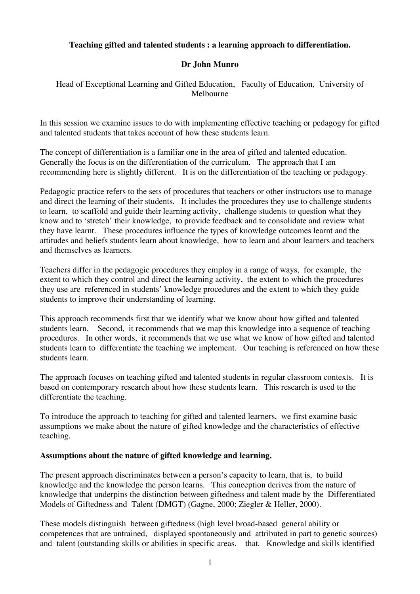## **Teaching gifted and talented students : a learning approach to differentiation.**

## **Dr John Munro**

Head of Exceptional Learning and Gifted Education, Faculty of Education, University of Melbourne

In this session we examine issues to do with implementing effective teaching or pedagogy for gifted and talented students that takes account of how these students learn.

The concept of differentiation is a familiar one in the area of gifted and talented education. Generally the focus is on the differentiation of the curriculum. The approach that I am recommending here is slightly different. It is on the differentiation of the teaching or pedagogy.

Pedagogic practice refers to the sets of procedures that teachers or other instructors use to manage and direct the learning of their students. It includes the procedures they use to challenge students to learn, to scaffold and guide their learning activity, challenge students to question what they know and to 'stretch' their knowledge, to provide feedback and to consolidate and review what they have learnt. These procedures influence the types of knowledge outcomes learnt and the attitudes and beliefs students learn about knowledge, how to learn and about learners and teachers and themselves as learners.

Teachers differ in the pedagogic procedures they employ in a range of ways, for example, the extent to which they control and direct the learning activity, the extent to which the procedures they use are referenced in students' knowledge procedures and the extent to which they guide students to improve their understanding of learning.

This approach recommends first that we identify what we know about how gifted and talented students learn. Second, it recommends that we map this knowledge into a sequence of teaching procedures. In other words, it recommends that we use what we know of how gifted and talented students learn to differentiate the teaching we implement. Our teaching is referenced on how these students learn.

The approach focuses on teaching gifted and talented students in regular classroom contexts. It is based on contemporary research about how these students learn. This research is used to the differentiate the teaching.

To introduce the approach to teaching for gifted and talented learners, we first examine basic assumptions we make about the nature of gifted knowledge and the characteristics of effective teaching.

#### **Assumptions about the nature of gifted knowledge and learning.**

The present approach discriminates between a person's capacity to learn, that is, to build knowledge and the knowledge the person learns. This conception derives from the nature of knowledge that underpins the distinction between giftedness and talent made by the Differentiated Models of Giftedness and Talent (DMGT) (Gagne, 2000; Ziegler & Heller, 2000).

These models distinguish between giftedness (high level broad-based general ability or competences that are untrained, displayed spontaneously and attributed in part to genetic sources) and talent (outstanding skills or abilities in specific areas. that. Knowledge and skills identified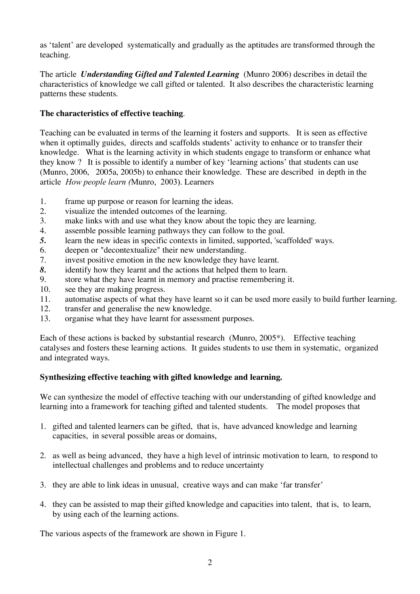as 'talent' are developed systematically and gradually as the aptitudes are transformed through the teaching.

The article *Understanding Gifted and Talented Learning* (Munro 2006) describes in detail the characteristics of knowledge we call gifted or talented. It also describes the characteristic learning patterns these students.

## **The characteristics of effective teaching**.

Teaching can be evaluated in terms of the learning it fosters and supports. It is seen as effective when it optimally guides, directs and scaffolds students' activity to enhance or to transfer their knowledge. What is the learning activity in which students engage to transform or enhance what they know ? It is possible to identify a number of key 'learning actions' that students can use (Munro, 2006, 2005a, 2005b) to enhance their knowledge. These are described in depth in the article *How people learn (*Munro, 2003). Learners

- 1. frame up purpose or reason for learning the ideas.
- 2. visualize the intended outcomes of the learning.
- 3. make links with and use what they know about the topic they are learning.
- 4. assemble possible learning pathways they can follow to the goal.
- *5.* learn the new ideas in specific contexts in limited, supported, 'scaffolded' ways.
- 6. deepen or "decontextualize" their new understanding.
- 7. invest positive emotion in the new knowledge they have learnt.
- *8.* identify how they learnt and the actions that helped them to learn.
- 9. store what they have learnt in memory and practise remembering it.
- 10. see they are making progress.
- 11. automatise aspects of what they have learnt so it can be used more easily to build further learning.
- 12. transfer and generalise the new knowledge.
- 13. organise what they have learnt for assessment purposes.

Each of these actions is backed by substantial research (Munro, 2005\*). Effective teaching catalyses and fosters these learning actions. It guides students to use them in systematic, organized and integrated ways.

## **Synthesizing effective teaching with gifted knowledge and learning.**

We can synthesize the model of effective teaching with our understanding of gifted knowledge and learning into a framework for teaching gifted and talented students. The model proposes that

- 1. gifted and talented learners can be gifted, that is, have advanced knowledge and learning capacities, in several possible areas or domains,
- 2. as well as being advanced, they have a high level of intrinsic motivation to learn, to respond to intellectual challenges and problems and to reduce uncertainty
- 3. they are able to link ideas in unusual, creative ways and can make 'far transfer'
- 4. they can be assisted to map their gifted knowledge and capacities into talent, that is, to learn, by using each of the learning actions.

The various aspects of the framework are shown in Figure 1.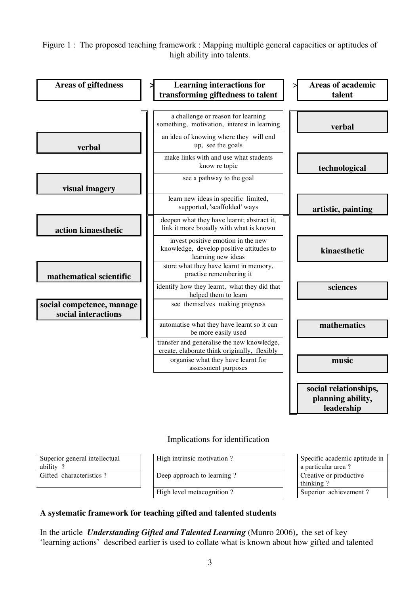Figure 1 : The proposed teaching framework : Mapping multiple general capacities or aptitudes of high ability into talents.



### Implications for identification

Superior general intellectual ability ?<br>Gifted characteristics ?

Deep approach to learning ? Creative or productive

High level metacognition ? Superior achievement ?

High intrinsic motivation ? Specific academic aptitude in a particular area ? thinking ?

### **A systematic framework for teaching gifted and talented students**

In the article *Understanding Gifted and Talented Learning* (Munro 2006)*,* the set of key 'learning actions' described earlier is used to collate what is known about how gifted and talented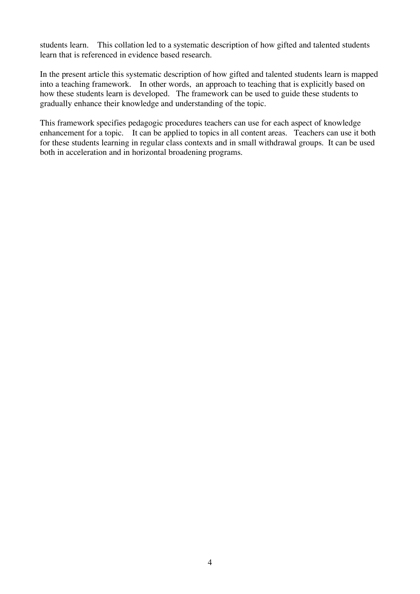students learn. This collation led to a systematic description of how gifted and talented students learn that is referenced in evidence based research.

In the present article this systematic description of how gifted and talented students learn is mapped into a teaching framework. In other words, an approach to teaching that is explicitly based on how these students learn is developed. The framework can be used to guide these students to gradually enhance their knowledge and understanding of the topic.

This framework specifies pedagogic procedures teachers can use for each aspect of knowledge enhancement for a topic. It can be applied to topics in all content areas. Teachers can use it both for these students learning in regular class contexts and in small withdrawal groups. It can be used both in acceleration and in horizontal broadening programs.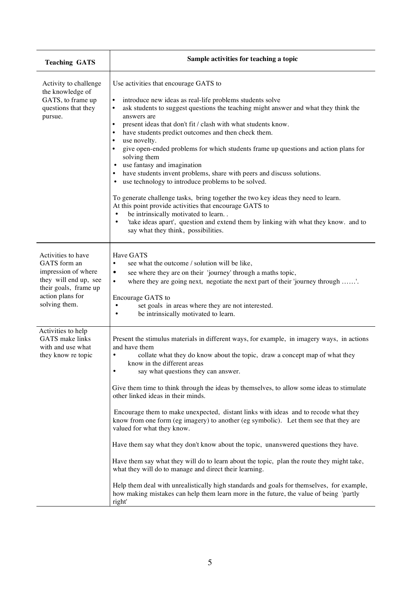| <b>Teaching GATS</b>                                                                                                                             | Sample activities for teaching a topic                                                                                                                                                                                                                                                                                                                                                                                                                                                                                                                                                                                                                                                                                                                                                                                                                                                                                                                                                                                                                         |
|--------------------------------------------------------------------------------------------------------------------------------------------------|----------------------------------------------------------------------------------------------------------------------------------------------------------------------------------------------------------------------------------------------------------------------------------------------------------------------------------------------------------------------------------------------------------------------------------------------------------------------------------------------------------------------------------------------------------------------------------------------------------------------------------------------------------------------------------------------------------------------------------------------------------------------------------------------------------------------------------------------------------------------------------------------------------------------------------------------------------------------------------------------------------------------------------------------------------------|
| Activity to challenge<br>the knowledge of<br>GATS, to frame up<br>questions that they<br>pursue.                                                 | Use activities that encourage GATS to<br>introduce new ideas as real-life problems students solve<br>$\bullet$<br>ask students to suggest questions the teaching might answer and what they think the<br>$\bullet$<br>answers are<br>present ideas that don't fit / clash with what students know.<br>$\bullet$<br>have students predict outcomes and then check them.<br>$\bullet$<br>use novelty.<br>$\bullet$<br>give open-ended problems for which students frame up questions and action plans for<br>solving them<br>use fantasy and imagination<br>$\bullet$<br>have students invent problems, share with peers and discuss solutions.<br>use technology to introduce problems to be solved.<br>٠<br>To generate challenge tasks, bring together the two key ideas they need to learn.<br>At this point provide activities that encourage GATS to<br>be intrinsically motivated to learn<br>٠<br>'take ideas apart', question and extend them by linking with what they know. and to<br>$\bullet$<br>say what they think, possibilities.                |
| Activities to have<br>GATS form an<br>impression of where<br>they will end up, see<br>their goals, frame up<br>action plans for<br>solving them. | Have GATS<br>see what the outcome / solution will be like,<br>$\bullet$<br>see where they are on their 'journey' through a maths topic,<br>٠<br>where they are going next, negotiate the next part of their 'journey through '.<br>$\bullet$<br>Encourage GATS to<br>set goals in areas where they are not interested.<br>$\bullet$<br>be intrinsically motivated to learn.                                                                                                                                                                                                                                                                                                                                                                                                                                                                                                                                                                                                                                                                                    |
| Activities to help<br>GATS make links<br>with and use what<br>they know re topic                                                                 | Present the stimulus materials in different ways, for example, in imagery ways, in actions<br>and have them<br>collate what they do know about the topic, draw a concept map of what they<br>know in the different areas<br>say what questions they can answer.<br>Give them time to think through the ideas by themselves, to allow some ideas to stimulate<br>other linked ideas in their minds.<br>Encourage them to make unexpected, distant links with ideas and to recode what they<br>know from one form (eg imagery) to another (eg symbolic). Let them see that they are<br>valued for what they know.<br>Have them say what they don't know about the topic, unanswered questions they have.<br>Have them say what they will do to learn about the topic, plan the route they might take,<br>what they will do to manage and direct their learning.<br>Help them deal with unrealistically high standards and goals for themselves, for example,<br>how making mistakes can help them learn more in the future, the value of being 'partly<br>right' |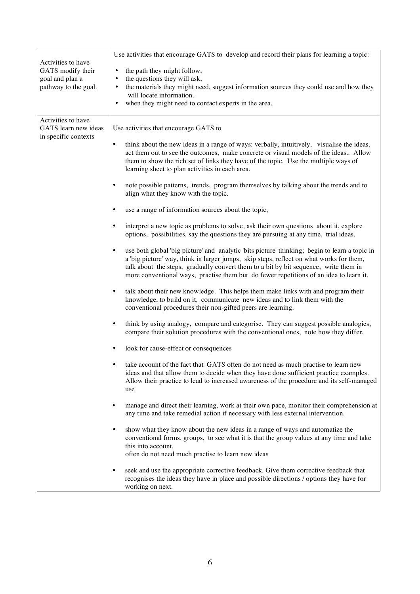|                                                                                    | Use activities that encourage GATS to develop and record their plans for learning a topic:                                                                                                                                                                                                                                                                                 |
|------------------------------------------------------------------------------------|----------------------------------------------------------------------------------------------------------------------------------------------------------------------------------------------------------------------------------------------------------------------------------------------------------------------------------------------------------------------------|
| Activities to have<br>GATS modify their<br>goal and plan a<br>pathway to the goal. | the path they might follow,<br>٠<br>the questions they will ask,<br>the materials they might need, suggest information sources they could use and how they<br>will locate information.<br>when they might need to contact experts in the area.                                                                                                                             |
| Activities to have                                                                 |                                                                                                                                                                                                                                                                                                                                                                            |
| GATS learn new ideas<br>in specific contexts                                       | Use activities that encourage GATS to                                                                                                                                                                                                                                                                                                                                      |
|                                                                                    | think about the new ideas in a range of ways: verbally, intuitively, visualise the ideas,<br>$\bullet$<br>act them out to see the outcomes, make concrete or visual models of the ideas Allow<br>them to show the rich set of links they have of the topic. Use the multiple ways of<br>learning sheet to plan activities in each area.                                    |
|                                                                                    | note possible patterns, trends, program themselves by talking about the trends and to<br>٠<br>align what they know with the topic.                                                                                                                                                                                                                                         |
|                                                                                    | use a range of information sources about the topic,                                                                                                                                                                                                                                                                                                                        |
|                                                                                    | interpret a new topic as problems to solve, ask their own questions about it, explore<br>options, possibilities. say the questions they are pursuing at any time, trial ideas.                                                                                                                                                                                             |
|                                                                                    | use both global 'big picture' and analytic 'bits picture' thinking; begin to learn a topic in<br>a 'big picture' way, think in larger jumps, skip steps, reflect on what works for them,<br>talk about the steps, gradually convert them to a bit by bit sequence, write them in<br>more conventional ways, practise them but do fewer repetitions of an idea to learn it. |
|                                                                                    | talk about their new knowledge. This helps them make links with and program their<br>$\bullet$<br>knowledge, to build on it, communicate new ideas and to link them with the<br>conventional procedures their non-gifted peers are learning.                                                                                                                               |
|                                                                                    | think by using analogy, compare and categorise. They can suggest possible analogies,<br>٠<br>compare their solution procedures with the conventional ones, note how they differ.                                                                                                                                                                                           |
|                                                                                    | look for cause-effect or consequences                                                                                                                                                                                                                                                                                                                                      |
|                                                                                    | take account of the fact that GATS often do not need as much practise to learn new<br>ideas and that allow them to decide when they have done sufficient practice examples.<br>Allow their practice to lead to increased awareness of the procedure and its self-managed<br>use                                                                                            |
|                                                                                    | manage and direct their learning, work at their own pace, monitor their comprehension at<br>$\bullet$<br>any time and take remedial action if necessary with less external intervention.                                                                                                                                                                                   |
|                                                                                    | show what they know about the new ideas in a range of ways and automatize the<br>٠<br>conventional forms. groups, to see what it is that the group values at any time and take<br>this into account.<br>often do not need much practise to learn new ideas                                                                                                                 |
|                                                                                    | seek and use the appropriate corrective feedback. Give them corrective feedback that<br>$\bullet$<br>recognises the ideas they have in place and possible directions / options they have for<br>working on next.                                                                                                                                                           |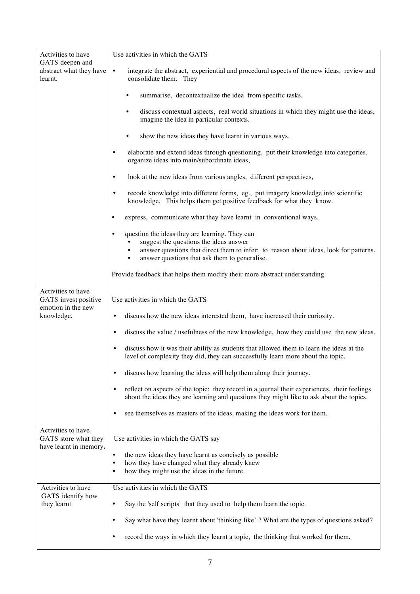| Activities to have                                                   | Use activities in which the GATS                                                                                                                                                                                                   |  |  |  |  |
|----------------------------------------------------------------------|------------------------------------------------------------------------------------------------------------------------------------------------------------------------------------------------------------------------------------|--|--|--|--|
| GATS deepen and<br>abstract what they have<br>learnt.                | integrate the abstract, experiential and procedural aspects of the new ideas, review and<br>$\bullet$<br>consolidate them. They                                                                                                    |  |  |  |  |
|                                                                      | summarise, decontextualize the idea from specific tasks.                                                                                                                                                                           |  |  |  |  |
|                                                                      | discuss contextual aspects, real world situations in which they might use the ideas,<br>$\bullet$<br>imagine the idea in particular contexts.                                                                                      |  |  |  |  |
|                                                                      | show the new ideas they have learnt in various ways.<br>٠                                                                                                                                                                          |  |  |  |  |
|                                                                      | elaborate and extend ideas through questioning, put their knowledge into categories,<br>$\bullet$<br>organize ideas into main/subordinate ideas,                                                                                   |  |  |  |  |
|                                                                      | look at the new ideas from various angles, different perspectives,<br>$\bullet$                                                                                                                                                    |  |  |  |  |
|                                                                      | recode knowledge into different forms, eg., put imagery knowledge into scientific<br>knowledge. This helps them get positive feedback for what they know.                                                                          |  |  |  |  |
|                                                                      | express, communicate what they have learnt in conventional ways.                                                                                                                                                                   |  |  |  |  |
|                                                                      | question the ideas they are learning. They can<br>suggest the questions the ideas answer<br>answer questions that direct them to infer; to reason about ideas, look for patterns.<br>answer questions that ask them to generalise. |  |  |  |  |
|                                                                      | Provide feedback that helps them modify their more abstract understanding.                                                                                                                                                         |  |  |  |  |
| Activities to have<br>GATS invest positive<br>emotion in the new     | Use activities in which the GATS                                                                                                                                                                                                   |  |  |  |  |
| knowledge.                                                           | discuss how the new ideas interested them, have increased their curiosity.                                                                                                                                                         |  |  |  |  |
|                                                                      | discuss the value / usefulness of the new knowledge, how they could use the new ideas.<br>$\bullet$                                                                                                                                |  |  |  |  |
|                                                                      | discuss how it was their ability as students that allowed them to learn the ideas at the<br>$\bullet$<br>level of complexity they did, they can successfully learn more about the topic.                                           |  |  |  |  |
|                                                                      | discuss how learning the ideas will help them along their journey.<br>٠                                                                                                                                                            |  |  |  |  |
|                                                                      | reflect on aspects of the topic; they record in a journal their experiences, their feelings<br>٠<br>about the ideas they are learning and questions they might like to ask about the topics.                                       |  |  |  |  |
|                                                                      | see themselves as masters of the ideas, making the ideas work for them.<br>٠                                                                                                                                                       |  |  |  |  |
| Activities to have<br>GATS store what they<br>have learnt in memory. | Use activities in which the GATS say                                                                                                                                                                                               |  |  |  |  |
|                                                                      | the new ideas they have learnt as concisely as possible<br>$\bullet$<br>how they have changed what they already knew<br>$\bullet$<br>how they might use the ideas in the future.<br>$\bullet$                                      |  |  |  |  |
| Activities to have<br>GATS identify how                              | Use activities in which the GATS                                                                                                                                                                                                   |  |  |  |  |
| they learnt.                                                         | Say the 'self scripts' that they used to help them learn the topic.<br>$\bullet$                                                                                                                                                   |  |  |  |  |
|                                                                      | Say what have they learnt about 'thinking like'? What are the types of questions asked?<br>٠                                                                                                                                       |  |  |  |  |
|                                                                      | record the ways in which they learnt a topic, the thinking that worked for them.<br>$\bullet$                                                                                                                                      |  |  |  |  |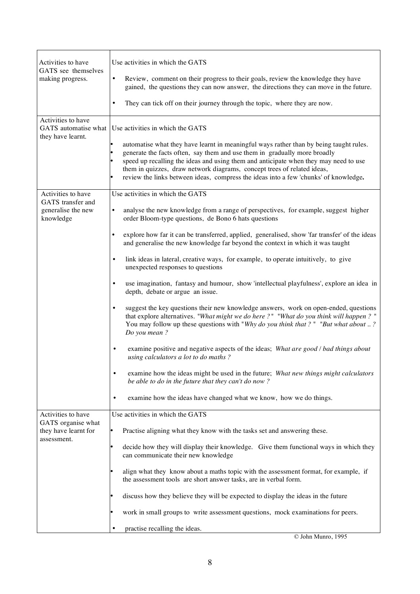| Activities to have                                   | Use activities in which the GATS                                                                                                                                                                                                                                                                                                                                                                                                                                                        |  |  |  |  |
|------------------------------------------------------|-----------------------------------------------------------------------------------------------------------------------------------------------------------------------------------------------------------------------------------------------------------------------------------------------------------------------------------------------------------------------------------------------------------------------------------------------------------------------------------------|--|--|--|--|
| GATS see themselves<br>making progress.              | Review, comment on their progress to their goals, review the knowledge they have<br>٠<br>gained, the questions they can now answer, the directions they can move in the future.                                                                                                                                                                                                                                                                                                         |  |  |  |  |
|                                                      | They can tick off on their journey through the topic, where they are now.<br>$\bullet$                                                                                                                                                                                                                                                                                                                                                                                                  |  |  |  |  |
| Activities to have<br>they have learnt.              | GATS automatise what Use activities in which the GATS<br>automatise what they have learnt in meaningful ways rather than by being taught rules.<br>generate the facts often, say them and use them in gradually more broadly<br>speed up recalling the ideas and using them and anticipate when they may need to use<br>them in quizzes, draw network diagrams, concept trees of related ideas,<br>review the links between ideas, compress the ideas into a few 'chunks' of knowledge. |  |  |  |  |
| Activities to have                                   | Use activities in which the GATS                                                                                                                                                                                                                                                                                                                                                                                                                                                        |  |  |  |  |
| GATS transfer and<br>generalise the new<br>knowledge | analyse the new knowledge from a range of perspectives, for example, suggest higher<br>$\bullet$<br>order Bloom-type questions, de Bono 6 hats questions                                                                                                                                                                                                                                                                                                                                |  |  |  |  |
|                                                      | explore how far it can be transferred, applied, generalised, show 'far transfer' of the ideas<br>$\bullet$<br>and generalise the new knowledge far beyond the context in which it was taught                                                                                                                                                                                                                                                                                            |  |  |  |  |
|                                                      | link ideas in lateral, creative ways, for example, to operate intuitively, to give<br>$\bullet$<br>unexpected responses to questions                                                                                                                                                                                                                                                                                                                                                    |  |  |  |  |
|                                                      | use imagination, fantasy and humour, show 'intellectual playfulness', explore an idea in<br>$\bullet$<br>depth, debate or argue an issue.                                                                                                                                                                                                                                                                                                                                               |  |  |  |  |
|                                                      | suggest the key questions their new knowledge answers, work on open-ended, questions<br>$\bullet$<br>that explore alternatives. "What might we do here?" "What do you think will happen?"<br>You may follow up these questions with "Why do you think that?" "But what about ?<br>Do you mean?                                                                                                                                                                                          |  |  |  |  |
|                                                      | examine positive and negative aspects of the ideas; What are good / bad things about<br>$\bullet$<br>using calculators a lot to do maths?                                                                                                                                                                                                                                                                                                                                               |  |  |  |  |
|                                                      | examine how the ideas might be used in the future; What new things might calculators<br>٠<br>be able to do in the future that they can't do now?                                                                                                                                                                                                                                                                                                                                        |  |  |  |  |
|                                                      | examine how the ideas have changed what we know, how we do things.<br>$\bullet$                                                                                                                                                                                                                                                                                                                                                                                                         |  |  |  |  |
| Activities to have<br>GATS organise what             | Use activities in which the GATS                                                                                                                                                                                                                                                                                                                                                                                                                                                        |  |  |  |  |
| they have learnt for                                 | ŀ<br>Practise aligning what they know with the tasks set and answering these.                                                                                                                                                                                                                                                                                                                                                                                                           |  |  |  |  |
| assessment.                                          | decide how they will display their knowledge. Give them functional ways in which they<br>$\bullet$<br>can communicate their new knowledge                                                                                                                                                                                                                                                                                                                                               |  |  |  |  |
|                                                      | align what they know about a maths topic with the assessment format, for example, if<br>the assessment tools are short answer tasks, are in verbal form.                                                                                                                                                                                                                                                                                                                                |  |  |  |  |
|                                                      | discuss how they believe they will be expected to display the ideas in the future                                                                                                                                                                                                                                                                                                                                                                                                       |  |  |  |  |
|                                                      | work in small groups to write assessment questions, mock examinations for peers.                                                                                                                                                                                                                                                                                                                                                                                                        |  |  |  |  |
|                                                      | practise recalling the ideas.                                                                                                                                                                                                                                                                                                                                                                                                                                                           |  |  |  |  |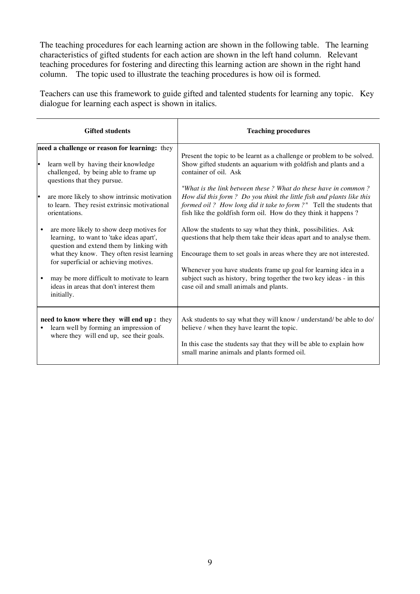The teaching procedures for each learning action are shown in the following table. The learning characteristics of gifted students for each action are shown in the left hand column. Relevant teaching procedures for fostering and directing this learning action are shown in the right hand column. The topic used to illustrate the teaching procedures is how oil is formed.

Teachers can use this framework to guide gifted and talented students for learning any topic. Key dialogue for learning each aspect is shown in italics.

| <b>Gifted students</b>                                                                                                                                                                                                                                                                                                                                                                                                                                                                                                                                                                                                                           | <b>Teaching procedures</b>                                                                                                                                                                                                                                                                                                                                                                                                                                                                                                                                                                                                                                                                                                                                                                                                                              |  |
|--------------------------------------------------------------------------------------------------------------------------------------------------------------------------------------------------------------------------------------------------------------------------------------------------------------------------------------------------------------------------------------------------------------------------------------------------------------------------------------------------------------------------------------------------------------------------------------------------------------------------------------------------|---------------------------------------------------------------------------------------------------------------------------------------------------------------------------------------------------------------------------------------------------------------------------------------------------------------------------------------------------------------------------------------------------------------------------------------------------------------------------------------------------------------------------------------------------------------------------------------------------------------------------------------------------------------------------------------------------------------------------------------------------------------------------------------------------------------------------------------------------------|--|
| need a challenge or reason for learning: they<br>learn well by having their knowledge<br>lo<br>challenged, by being able to frame up<br>questions that they pursue.<br>are more likely to show intrinsic motivation<br>to learn. They resist extrinsic motivational<br>orientations.<br>are more likely to show deep motives for<br>$\bullet$<br>learning, to want to 'take ideas apart',<br>question and extend them by linking with<br>what they know. They often resist learning<br>for superficial or achieving motives.<br>may be more difficult to motivate to learn<br>$\bullet$<br>ideas in areas that don't interest them<br>initially. | Present the topic to be learnt as a challenge or problem to be solved.<br>Show gifted students an aquarium with goldfish and plants and a<br>container of oil. Ask<br>"What is the link between these? What do these have in common?<br>How did this form? Do you think the little fish and plants like this<br>formed oil? How long did it take to form?" Tell the students that<br>fish like the goldfish form oil. How do they think it happens?<br>Allow the students to say what they think, possibilities. Ask<br>questions that help them take their ideas apart and to analyse them.<br>Encourage them to set goals in areas where they are not interested.<br>Whenever you have students frame up goal for learning idea in a<br>subject such as history, bring together the two key ideas - in this<br>case oil and small animals and plants. |  |
| need to know where they will end up: they<br>learn well by forming an impression of<br>٠<br>where they will end up, see their goals.                                                                                                                                                                                                                                                                                                                                                                                                                                                                                                             | Ask students to say what they will know / understand/ be able to do/<br>believe / when they have learnt the topic.<br>In this case the students say that they will be able to explain how<br>small marine animals and plants formed oil.                                                                                                                                                                                                                                                                                                                                                                                                                                                                                                                                                                                                                |  |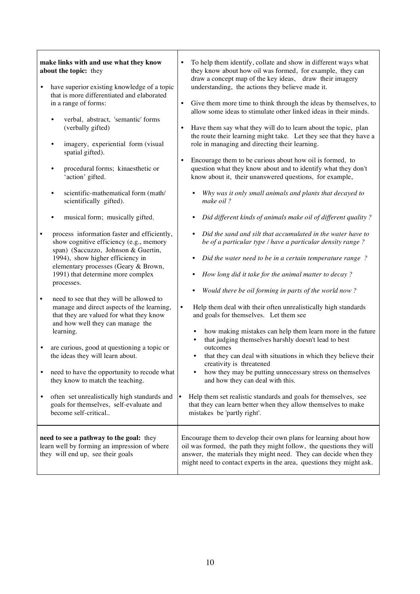| make links with and use what they know<br>about the topic: they<br>have superior existing knowledge of a topic<br>that is more differentiated and elaborated<br>in a range of forms:<br>verbal, abstract, 'semantic' forms<br>$\bullet$                      | To help them identify, collate and show in different ways what<br>they know about how oil was formed, for example, they can<br>draw a concept map of the key ideas, draw their imagery<br>understanding, the actions they believe made it.<br>Give them more time to think through the ideas by themselves, to<br>allow some ideas to stimulate other linked ideas in their minds.          |
|--------------------------------------------------------------------------------------------------------------------------------------------------------------------------------------------------------------------------------------------------------------|---------------------------------------------------------------------------------------------------------------------------------------------------------------------------------------------------------------------------------------------------------------------------------------------------------------------------------------------------------------------------------------------|
| (verbally gifted)<br>imagery, experiential form (visual<br>$\bullet$<br>spatial gifted).<br>procedural forms; kinaesthetic or<br>$\bullet$<br>'action' gifted.                                                                                               | Have them say what they will do to learn about the topic, plan<br>the route their learning might take. Let they see that they have a<br>role in managing and directing their learning.<br>Encourage them to be curious about how oil is formed, to<br>$\bullet$<br>question what they know about and to identify what they don't<br>know about it, their unanswered questions, for example, |
| scientific-mathematical form (math/<br>scientifically gifted).<br>musical form; musically gifted.                                                                                                                                                            | Why was it only small animals and plants that decayed to<br>make oil?<br>Did different kinds of animals make oil of different quality?                                                                                                                                                                                                                                                      |
| process information faster and efficiently,<br>show cognitive efficiency (e.g., memory<br>span) (Saccuzzo, Johnson & Guertin,<br>1994), show higher efficiency in<br>elementary processes (Geary & Brown,<br>1991) that determine more complex<br>processes. | Did the sand and silt that accumulated in the water have to<br>be of a particular type / have a particular density range?<br>Did the water need to be in a certain temperature range?<br>How long did it take for the animal matter to decay?                                                                                                                                               |
| need to see that they will be allowed to<br>$\bullet$<br>manage and direct aspects of the learning,<br>that they are valued for what they know<br>and how well they can manage the<br>learning.                                                              | Would there be oil forming in parts of the world now?<br>Help them deal with their often unrealistically high standards<br>$\bullet$<br>and goals for themselves. Let them see<br>how making mistakes can help them learn more in the future<br>$\bullet$<br>that judging themselves harshly doesn't lead to best                                                                           |
| are curious, good at questioning a topic or<br>the ideas they will learn about.<br>need to have the opportunity to recode what<br>they know to match the teaching.                                                                                           | outcomes<br>that they can deal with situations in which they believe their<br>$\bullet$<br>creativity is threatened<br>how they may be putting unnecessary stress on themselves<br>and how they can deal with this.                                                                                                                                                                         |
| often set unrealistically high standards and<br>$\bullet$<br>goals for themselves, self-evaluate and<br>become self-critical                                                                                                                                 | Help them set realistic standards and goals for themselves, see<br>$\bullet$<br>that they can learn better when they allow themselves to make<br>mistakes be 'partly right'.                                                                                                                                                                                                                |
| need to see a pathway to the goal: they<br>learn well by forming an impression of where<br>they will end up, see their goals                                                                                                                                 | Encourage them to develop their own plans for learning about how<br>oil was formed, the path they might follow, the questions they will<br>answer, the materials they might need. They can decide when they<br>might need to contact experts in the area, questions they might ask.                                                                                                         |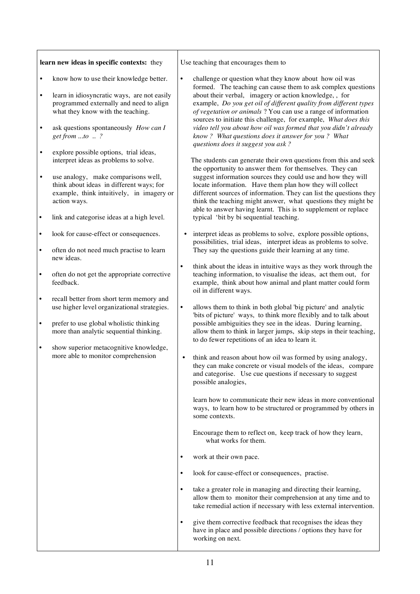| learn new ideas in specific contexts: they |                                                                                                                                                                                                                                                                               | Use teaching that encourages them to                                                                                                                                                                                                                                                                                                                                                                   |                                                                                                                                                                                                                                                                                                                                                                                                                                                                                                                                                                                                                                                                                                                                                                                                                                                                                                                                                                                                                                                                                                                                                                                                                                                                  |  |
|--------------------------------------------|-------------------------------------------------------------------------------------------------------------------------------------------------------------------------------------------------------------------------------------------------------------------------------|--------------------------------------------------------------------------------------------------------------------------------------------------------------------------------------------------------------------------------------------------------------------------------------------------------------------------------------------------------------------------------------------------------|------------------------------------------------------------------------------------------------------------------------------------------------------------------------------------------------------------------------------------------------------------------------------------------------------------------------------------------------------------------------------------------------------------------------------------------------------------------------------------------------------------------------------------------------------------------------------------------------------------------------------------------------------------------------------------------------------------------------------------------------------------------------------------------------------------------------------------------------------------------------------------------------------------------------------------------------------------------------------------------------------------------------------------------------------------------------------------------------------------------------------------------------------------------------------------------------------------------------------------------------------------------|--|
| $\bullet$<br>$\bullet$                     | know how to use their knowledge better.<br>learn in idiosyncratic ways, are not easily<br>programmed externally and need to align<br>what they know with the teaching.                                                                                                        | challenge or question what they know about how oil was<br>$\bullet$<br>formed. The teaching can cause them to ask complex questions<br>about their verbal, imagery or action knowledge, , for<br>example, Do you get oil of different quality from different types<br>of vegetation or animals ? You can use a range of information<br>sources to initiate this challenge, for example, What does this |                                                                                                                                                                                                                                                                                                                                                                                                                                                                                                                                                                                                                                                                                                                                                                                                                                                                                                                                                                                                                                                                                                                                                                                                                                                                  |  |
| $\bullet$                                  | ask questions spontaneously How can I<br>get from to $\therefore$ ?                                                                                                                                                                                                           |                                                                                                                                                                                                                                                                                                                                                                                                        | video tell you about how oil was formed that you didn't already<br>know? What questions does it answer for you? What<br>questions does it suggest you ask?                                                                                                                                                                                                                                                                                                                                                                                                                                                                                                                                                                                                                                                                                                                                                                                                                                                                                                                                                                                                                                                                                                       |  |
| $\bullet$<br>$\bullet$<br>$\bullet$        | explore possible options, trial ideas,<br>interpret ideas as problems to solve.<br>use analogy, make comparisons well,<br>think about ideas in different ways; for<br>example, think intuitively, in imagery or<br>action ways.<br>link and categorise ideas at a high level. |                                                                                                                                                                                                                                                                                                                                                                                                        | The students can generate their own questions from this and seek<br>the opportunity to answer them for themselves. They can<br>suggest information sources they could use and how they will<br>locate information. Have them plan how they will collect<br>different sources of information. They can list the questions they<br>think the teaching might answer, what questions they might be<br>able to answer having learnt. This is to supplement or replace<br>typical 'bit by bi sequential teaching.                                                                                                                                                                                                                                                                                                                                                                                                                                                                                                                                                                                                                                                                                                                                                      |  |
| $\bullet$<br>$\bullet$                     | look for cause-effect or consequences.<br>often do not need much practise to learn                                                                                                                                                                                            | $\bullet$                                                                                                                                                                                                                                                                                                                                                                                              | interpret ideas as problems to solve, explore possible options,<br>possibilities, trial ideas, interpret ideas as problems to solve.<br>They say the questions guide their learning at any time.                                                                                                                                                                                                                                                                                                                                                                                                                                                                                                                                                                                                                                                                                                                                                                                                                                                                                                                                                                                                                                                                 |  |
| $\bullet$                                  | new ideas.<br>often do not get the appropriate corrective<br>feedback.                                                                                                                                                                                                        | $\bullet$                                                                                                                                                                                                                                                                                                                                                                                              | think about the ideas in intuitive ways as they work through the<br>teaching information, to visualise the ideas, act them out, for<br>example, think about how animal and plant matter could form                                                                                                                                                                                                                                                                                                                                                                                                                                                                                                                                                                                                                                                                                                                                                                                                                                                                                                                                                                                                                                                               |  |
| $\bullet$<br>$\bullet$<br>$\bullet$        | recall better from short term memory and<br>use higher level organizational strategies.<br>prefer to use global wholistic thinking<br>more than analytic sequential thinking.<br>show superior metacognitive knowledge,<br>more able to monitor comprehension                 | $\bullet$<br>٠<br>$\bullet$<br>$\bullet$                                                                                                                                                                                                                                                                                                                                                               | oil in different ways.<br>allows them to think in both global 'big picture' and analytic<br>'bits of picture' ways, to think more flexibly and to talk about<br>possible ambiguities they see in the ideas. During learning,<br>allow them to think in larger jumps, skip steps in their teaching,<br>to do fewer repetitions of an idea to learn it.<br>think and reason about how oil was formed by using analogy,<br>they can make concrete or visual models of the ideas, compare<br>and categorise. Use cue questions if necessary to suggest<br>possible analogies,<br>learn how to communicate their new ideas in more conventional<br>ways, to learn how to be structured or programmed by others in<br>some contexts.<br>Encourage them to reflect on, keep track of how they learn,<br>what works for them.<br>work at their own pace.<br>look for cause-effect or consequences, practise.<br>take a greater role in managing and directing their learning,<br>allow them to monitor their comprehension at any time and to<br>take remedial action if necessary with less external intervention.<br>give them corrective feedback that recognises the ideas they<br>have in place and possible directions / options they have for<br>working on next. |  |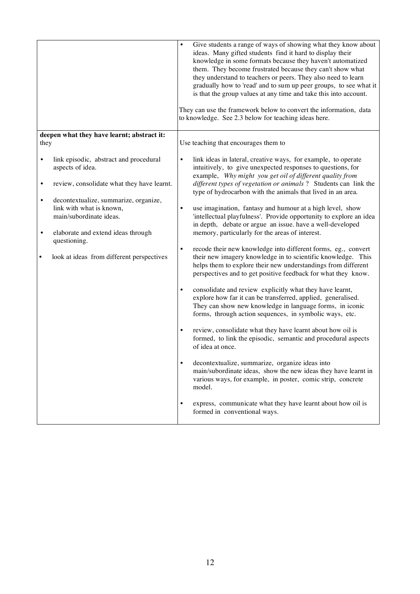|                                                                                                                                                                                                                                                                                                                                                                                                                                                                         | ideas. Many gifted students find it hard to display their<br>knowledge in some formats because they haven't automatized<br>them. They become frustrated because they can't show what<br>they understand to teachers or peers. They also need to learn<br>gradually how to 'read' and to sum up peer groups, to see what it<br>is that the group values at any time and take this into account.<br>They can use the framework below to convert the information, data<br>to knowledge. See 2.3 below for teaching ideas here.                                                                                                                                                                                                                                                                                                                                                                                                                                                                                                                                                                                                                                                                                                                                                                                                                                                                                                                                                                                                                          |
|-------------------------------------------------------------------------------------------------------------------------------------------------------------------------------------------------------------------------------------------------------------------------------------------------------------------------------------------------------------------------------------------------------------------------------------------------------------------------|------------------------------------------------------------------------------------------------------------------------------------------------------------------------------------------------------------------------------------------------------------------------------------------------------------------------------------------------------------------------------------------------------------------------------------------------------------------------------------------------------------------------------------------------------------------------------------------------------------------------------------------------------------------------------------------------------------------------------------------------------------------------------------------------------------------------------------------------------------------------------------------------------------------------------------------------------------------------------------------------------------------------------------------------------------------------------------------------------------------------------------------------------------------------------------------------------------------------------------------------------------------------------------------------------------------------------------------------------------------------------------------------------------------------------------------------------------------------------------------------------------------------------------------------------|
| deepen what they have learnt; abstract it:<br>they                                                                                                                                                                                                                                                                                                                                                                                                                      | Use teaching that encourages them to                                                                                                                                                                                                                                                                                                                                                                                                                                                                                                                                                                                                                                                                                                                                                                                                                                                                                                                                                                                                                                                                                                                                                                                                                                                                                                                                                                                                                                                                                                                 |
| link episodic, abstract and procedural<br>$\bullet$<br>$\bullet$<br>aspects of idea.<br>review, consolidate what they have learnt.<br>$\bullet$<br>decontextualize, summarize, organize,<br>$\bullet$<br>link with what is known,<br>$\bullet$<br>main/subordinate ideas.<br>elaborate and extend ideas through<br>$\bullet$<br>questioning.<br>$\bullet$<br>look at ideas from different perspectives<br>$\bullet$<br>$\bullet$<br>$\bullet$<br>$\bullet$<br>$\bullet$ | link ideas in lateral, creative ways, for example, to operate<br>intuitively, to give unexpected responses to questions, for<br>example, Why might you get oil of different quality from<br>different types of vegetation or animals ? Students can link the<br>type of hydrocarbon with the animals that lived in an area.<br>use imagination, fantasy and humour at a high level, show<br>'intellectual playfulness'. Provide opportunity to explore an idea<br>in depth, debate or argue an issue. have a well-developed<br>memory, particularly for the areas of interest.<br>recode their new knowledge into different forms, eg., convert<br>their new imagery knowledge in to scientific knowledge. This<br>helps them to explore their new understandings from different<br>perspectives and to get positive feedback for what they know.<br>consolidate and review explicitly what they have learnt,<br>explore how far it can be transferred, applied, generalised.<br>They can show new knowledge in language forms, in iconic<br>forms, through action sequences, in symbolic ways, etc.<br>review, consolidate what they have learnt about how oil is<br>formed, to link the episodic, semantic and procedural aspects<br>of idea at once.<br>decontextualize, summarize, organize ideas into<br>main/subordinate ideas, show the new ideas they have learnt in<br>various ways, for example, in poster, comic strip, concrete<br>model.<br>express, communicate what they have learnt about how oil is<br>formed in conventional ways. |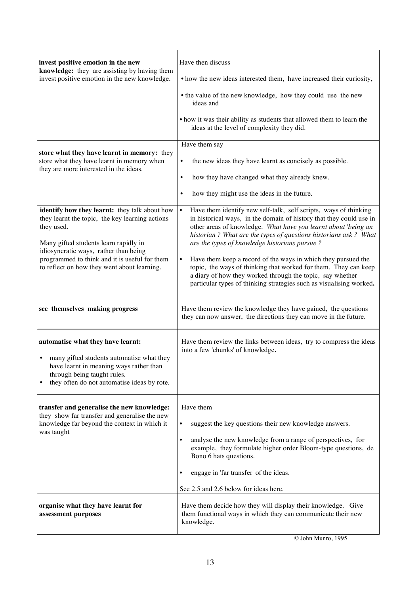| invest positive emotion in the new                                                                                                                                                                                                                | Have then discuss                                                                                                                                                                                                                                                                                                                                                                                           |  |  |
|---------------------------------------------------------------------------------------------------------------------------------------------------------------------------------------------------------------------------------------------------|-------------------------------------------------------------------------------------------------------------------------------------------------------------------------------------------------------------------------------------------------------------------------------------------------------------------------------------------------------------------------------------------------------------|--|--|
| knowledge: they are assisting by having them<br>invest positive emotion in the new knowledge.                                                                                                                                                     | • how the new ideas interested them, have increased their curiosity,                                                                                                                                                                                                                                                                                                                                        |  |  |
|                                                                                                                                                                                                                                                   | • the value of the new knowledge, how they could use the new<br>ideas and                                                                                                                                                                                                                                                                                                                                   |  |  |
|                                                                                                                                                                                                                                                   | • how it was their ability as students that allowed them to learn the<br>ideas at the level of complexity they did.                                                                                                                                                                                                                                                                                         |  |  |
| store what they have learnt in memory: they                                                                                                                                                                                                       | Have them say                                                                                                                                                                                                                                                                                                                                                                                               |  |  |
| store what they have learnt in memory when<br>they are more interested in the ideas.                                                                                                                                                              | the new ideas they have learnt as concisely as possible.<br>$\bullet$                                                                                                                                                                                                                                                                                                                                       |  |  |
|                                                                                                                                                                                                                                                   | how they have changed what they already knew.<br>$\bullet$                                                                                                                                                                                                                                                                                                                                                  |  |  |
|                                                                                                                                                                                                                                                   | how they might use the ideas in the future.<br>$\bullet$                                                                                                                                                                                                                                                                                                                                                    |  |  |
| identify how they learnt: they talk about how<br>they learnt the topic, the key learning actions<br>they used.<br>Many gifted students learn rapidly in<br>idiosyncratic ways, rather than being<br>programmed to think and it is useful for them | Have them identify new self-talk, self scripts, ways of thinking<br>$\bullet$<br>in historical ways, in the domain of history that they could use in<br>other areas of knowledge. What have you learnt about 'being an<br>historian? What are the types of questions historians ask? What<br>are the types of knowledge historians pursue?<br>Have them keep a record of the ways in which they pursued the |  |  |
| to reflect on how they went about learning.                                                                                                                                                                                                       | topic, the ways of thinking that worked for them. They can keep<br>a diary of how they worked through the topic, say whether<br>particular types of thinking strategies such as visualising worked.                                                                                                                                                                                                         |  |  |
| see themselves making progress                                                                                                                                                                                                                    | Have them review the knowledge they have gained, the questions<br>they can now answer, the directions they can move in the future.                                                                                                                                                                                                                                                                          |  |  |
| automatise what they have learnt:<br>many gifted students automatise what they<br>$\bullet$<br>have learnt in meaning ways rather than<br>through being taught rules.<br>they often do not automatise ideas by rote.                              | Have them review the links between ideas, try to compress the ideas<br>into a few 'chunks' of knowledge.                                                                                                                                                                                                                                                                                                    |  |  |
| transfer and generalise the new knowledge:                                                                                                                                                                                                        | Have them                                                                                                                                                                                                                                                                                                                                                                                                   |  |  |
| they show far transfer and generalise the new<br>knowledge far beyond the context in which it                                                                                                                                                     | suggest the key questions their new knowledge answers.<br>$\bullet$                                                                                                                                                                                                                                                                                                                                         |  |  |
| was taught                                                                                                                                                                                                                                        | analyse the new knowledge from a range of perspectives, for<br>$\bullet$<br>example, they formulate higher order Bloom-type questions, de<br>Bono 6 hats questions.                                                                                                                                                                                                                                         |  |  |
|                                                                                                                                                                                                                                                   | engage in 'far transfer' of the ideas.<br>٠                                                                                                                                                                                                                                                                                                                                                                 |  |  |
|                                                                                                                                                                                                                                                   | See 2.5 and 2.6 below for ideas here.                                                                                                                                                                                                                                                                                                                                                                       |  |  |
| organise what they have learnt for<br>assessment purposes                                                                                                                                                                                         | Have them decide how they will display their knowledge. Give<br>them functional ways in which they can communicate their new<br>knowledge.                                                                                                                                                                                                                                                                  |  |  |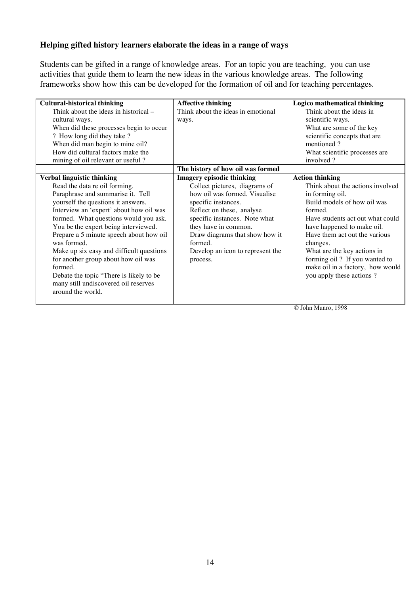# **Helping gifted history learners elaborate the ideas in a range of ways**

Students can be gifted in a range of knowledge areas. For an topic you are teaching, you can use activities that guide them to learn the new ideas in the various knowledge areas. The following frameworks show how this can be developed for the formation of oil and for teaching percentages.

| <b>Cultural-historical thinking</b>      | <b>Affective thinking</b>          | <b>Logico mathematical thinking</b> |
|------------------------------------------|------------------------------------|-------------------------------------|
| Think about the ideas in historical –    | Think about the ideas in emotional | Think about the ideas in            |
| cultural ways.                           | ways.                              | scientific ways.                    |
| When did these processes begin to occur  |                                    | What are some of the key            |
| ? How long did they take ?               |                                    | scientific concepts that are        |
| When did man begin to mine oil?          |                                    | mentioned?                          |
| How did cultural factors make the        |                                    | What scientific processes are       |
| mining of oil relevant or useful?        |                                    | involved?                           |
|                                          | The history of how oil was formed  |                                     |
| <b>Verbal linguistic thinking</b>        | <b>Imagery episodic thinking</b>   | <b>Action thinking</b>              |
| Read the data re oil forming.            | Collect pictures, diagrams of      | Think about the actions involved    |
| Paraphrase and summarise it. Tell        | how oil was formed. Visualise      | in forming oil.                     |
| yourself the questions it answers.       | specific instances.                | Build models of how oil was         |
| Interview an 'expert' about how oil was  | Reflect on these, analyse          | formed.                             |
| formed. What questions would you ask.    | specific instances. Note what      | Have students act out what could    |
| You be the expert being interviewed.     | they have in common.               | have happened to make oil.          |
| Prepare a 5 minute speech about how oil  | Draw diagrams that show how it     | Have them act out the various       |
| was formed.                              | formed.                            | changes.                            |
| Make up six easy and difficult questions | Develop an icon to represent the   | What are the key actions in         |
| for another group about how oil was      | process.                           | forming oil? If you wanted to       |
| formed.                                  |                                    | make oil in a factory, how would    |
| Debate the topic "There is likely to be  |                                    | you apply these actions?            |
| many still undiscovered oil reserves     |                                    |                                     |
| around the world.                        |                                    |                                     |
|                                          |                                    |                                     |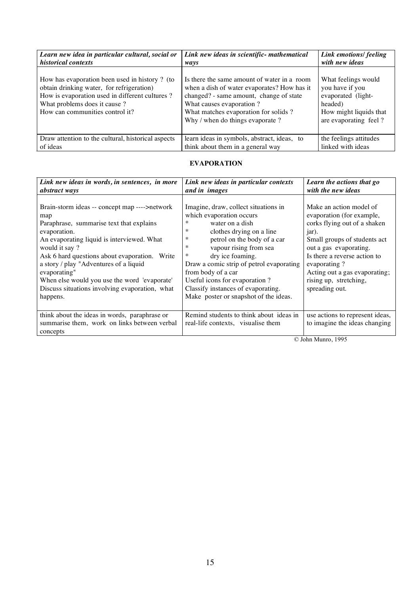| Learn new idea in particular cultural, social or<br>historical contexts                                                                                                                                          | Link new ideas in scientific- mathematical<br>ways                                                                                                                                                                                            | Link emotions/ feeling<br>with new ideas                                                                                   |
|------------------------------------------------------------------------------------------------------------------------------------------------------------------------------------------------------------------|-----------------------------------------------------------------------------------------------------------------------------------------------------------------------------------------------------------------------------------------------|----------------------------------------------------------------------------------------------------------------------------|
| How has evaporation been used in history ? (to<br>obtain drinking water, for refrigeration)<br>How is evaporation used in different cultures?<br>What problems does it cause?<br>How can communities control it? | Is there the same amount of water in a room<br>when a dish of water evaporates? How has it<br>changed? - same amount, change of state<br>What causes evaporation?<br>What matches evaporation for solids?<br>Why / when do things evaporate ? | What feelings would<br>you have if you<br>evaporated (light-<br>headed)<br>How might liquids that<br>are evaporating feel? |
| Draw attention to the cultural, historical aspects                                                                                                                                                               | learn ideas in symbols, abstract, ideas, to                                                                                                                                                                                                   | the feelings attitudes                                                                                                     |
| of ideas                                                                                                                                                                                                         | think about them in a general way                                                                                                                                                                                                             | linked with ideas                                                                                                          |

#### **EVAPORATION**

| Link new ideas in words, in sentences, in more                                                                                                                                                                                                                                                                                                                                                           | Link new ideas in particular contexts                                                                                                                                                                                                                                                                                                                                                                             | Learn the actions that go                                                                                                                                                                                                                                                            |
|----------------------------------------------------------------------------------------------------------------------------------------------------------------------------------------------------------------------------------------------------------------------------------------------------------------------------------------------------------------------------------------------------------|-------------------------------------------------------------------------------------------------------------------------------------------------------------------------------------------------------------------------------------------------------------------------------------------------------------------------------------------------------------------------------------------------------------------|--------------------------------------------------------------------------------------------------------------------------------------------------------------------------------------------------------------------------------------------------------------------------------------|
| <i>abstract ways</i>                                                                                                                                                                                                                                                                                                                                                                                     | and in images                                                                                                                                                                                                                                                                                                                                                                                                     | with the new ideas                                                                                                                                                                                                                                                                   |
| Brain-storm ideas -- concept map ---->network<br>map<br>Paraphrase, summarise text that explains<br>evaporation.<br>An evaporating liquid is interviewed. What<br>would it say?<br>Ask 6 hard questions about evaporation. Write<br>a story / play "Adventures of a liquid<br>evaporating"<br>When else would you use the word 'evaporate'<br>Discuss situations involving evaporation, what<br>happens. | Imagine, draw, collect situations in<br>which evaporation occurs<br>*<br>water on a dish<br>$\ast$<br>clothes drying on a line<br>*<br>petrol on the body of a car<br>*<br>vapour rising from sea<br>$\ast$<br>dry ice foaming.<br>Draw a comic strip of petrol evaporating<br>from body of a car<br>Useful icons for evaporation?<br>Classify instances of evaporating.<br>Make poster or snapshot of the ideas. | Make an action model of<br>evaporation (for example,<br>corks flying out of a shaken<br>jar).<br>Small groups of students act<br>out a gas evaporating.<br>Is there a reverse action to<br>evaporating?<br>Acting out a gas evaporating;<br>rising up, stretching,<br>spreading out. |
| think about the ideas in words, paraphrase or<br>summarise them, work on links between verbal                                                                                                                                                                                                                                                                                                            | Remind students to think about ideas in<br>real-life contexts, visualise them                                                                                                                                                                                                                                                                                                                                     | use actions to represent ideas,<br>to imagine the ideas changing                                                                                                                                                                                                                     |
| concepts                                                                                                                                                                                                                                                                                                                                                                                                 |                                                                                                                                                                                                                                                                                                                                                                                                                   |                                                                                                                                                                                                                                                                                      |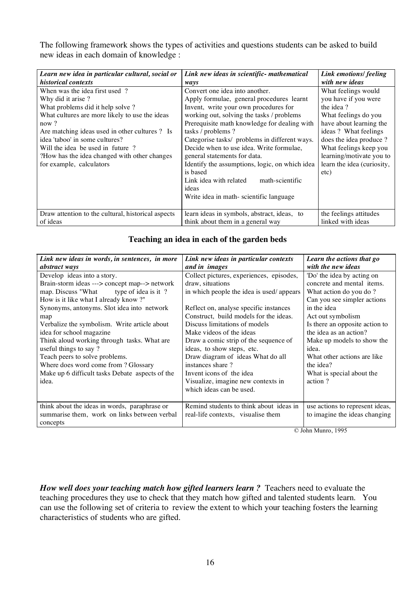The following framework shows the types of activities and questions students can be asked to build new ideas in each domain of knowledge :

| Learn new idea in particular cultural, social or   | Link new ideas in scientific- mathematical     | Link emotions/ feeling     |  |
|----------------------------------------------------|------------------------------------------------|----------------------------|--|
| historical contexts                                | ways                                           | with new ideas             |  |
| When was the idea first used?                      | Convert one idea into another.                 | What feelings would        |  |
| Why did it arise?                                  | Apply formulae, general procedures learnt      | you have if you were       |  |
| What problems did it help solve?                   | Invent, write your own procedures for          | the idea?                  |  |
| What cultures are more likely to use the ideas     | working out, solving the tasks / problems      | What feelings do you       |  |
| now?                                               | Prerequisite math knowledge for dealing with   | have about learning the    |  |
| Are matching ideas used in other cultures ? Is     | tasks / problems ?                             | ideas ? What feelings      |  |
| idea 'taboo' in some cultures?                     | Categorise tasks/ problems in different ways.  | does the idea produce?     |  |
| Will the idea be used in future?                   | Decide when to use idea. Write formulae,       | What feelings keep you     |  |
| ?How has the idea changed with other changes       | general statements for data.                   | learning/motivate you to   |  |
| for example, calculators                           | Identify the assumptions, logic, on which idea | learn the idea (curiosity, |  |
|                                                    | is based                                       | etc)                       |  |
|                                                    | Link idea with related<br>math-scientific      |                            |  |
|                                                    | ideas                                          |                            |  |
|                                                    | Write idea in math-scientific language         |                            |  |
|                                                    |                                                |                            |  |
| Draw attention to the cultural, historical aspects | learn ideas in symbols, abstract, ideas, to    | the feelings attitudes     |  |
| of ideas                                           | think about them in a general way              | linked with ideas          |  |

#### **Teaching an idea in each of the garden beds**

| Link new ideas in words, in sentences, in more<br><i>abstract ways</i> | Link new ideas in particular contexts<br>and in images | Learn the actions that go<br>with the new ideas |
|------------------------------------------------------------------------|--------------------------------------------------------|-------------------------------------------------|
| Develop ideas into a story.                                            | Collect pictures, experiences, episodes,               | 'Do' the idea by acting on                      |
| Brain-storm ideas ---> concept map--> network                          | draw, situations                                       | concrete and mental items.                      |
| map. Discuss "What<br>type of idea is it?                              | in which people the idea is used/appears               | What action do you do?                          |
| How is it like what I already know?"                                   |                                                        | Can you see simpler actions                     |
| Synonyms, antonyms. Slot idea into network                             | Reflect on, analyse specific instances                 | in the idea                                     |
| map                                                                    | Construct, build models for the ideas.                 | Act out symbolism                               |
| Verbalize the symbolism. Write article about                           | Discuss limitations of models                          | Is there an opposite action to                  |
| idea for school magazine                                               | Make videos of the ideas                               | the idea as an action?                          |
| Think aloud working through tasks. What are                            | Draw a comic strip of the sequence of                  | Make up models to show the                      |
| useful things to say ?                                                 | ideas, to show steps, etc.                             | idea.                                           |
| Teach peers to solve problems.                                         | Draw diagram of ideas What do all                      | What other actions are like                     |
| Where does word come from ? Glossary                                   | instances share?                                       | the idea?                                       |
| Make up 6 difficult tasks Debate aspects of the                        | Invent icons of the idea                               | What is special about the                       |
| idea.                                                                  | Visualize, imagine new contexts in                     | action?                                         |
|                                                                        | which ideas can be used.                               |                                                 |
|                                                                        |                                                        |                                                 |
| think about the ideas in words, paraphrase or                          | Remind students to think about ideas in                | use actions to represent ideas,                 |
| summarise them, work on links between verbal                           | real-life contexts, visualise them                     | to imagine the ideas changing                   |
| concepts                                                               |                                                        |                                                 |

© John Munro, 1995

*How well does your teaching match how gifted learners learn ?* Teachers need to evaluate the teaching procedures they use to check that they match how gifted and talented students learn. You can use the following set of criteria to review the extent to which your teaching fosters the learning characteristics of students who are gifted.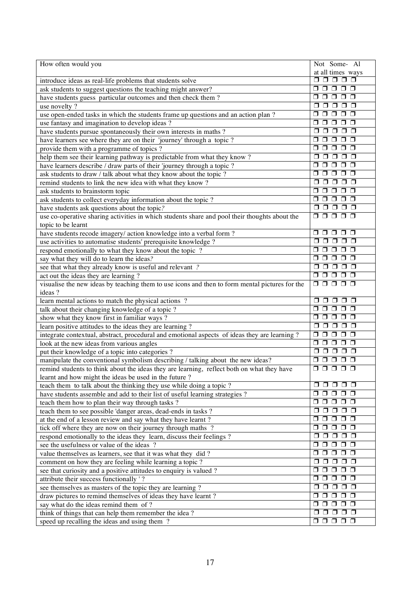| How often would you                                                                                                                    | Not Some- Al                                                                                                                                                                              |
|----------------------------------------------------------------------------------------------------------------------------------------|-------------------------------------------------------------------------------------------------------------------------------------------------------------------------------------------|
|                                                                                                                                        | at all times ways                                                                                                                                                                         |
| introduce ideas as real-life problems that students solve                                                                              | $\begin{array}{c} \square \; \square \; \square \; \square \end{array}$                                                                                                                   |
| ask students to suggest questions the teaching might answer?                                                                           | 00000                                                                                                                                                                                     |
| have students guess particular outcomes and then check them?                                                                           |                                                                                                                                                                                           |
| use novelty?                                                                                                                           | $\sqcap$ $\sqcap$ $\sqcap$<br>$\Box$                                                                                                                                                      |
| use open-ended tasks in which the students frame up questions and an action plan ?                                                     | $\sqcap$ $\sqcap$<br>$\Box$<br>$\Box$                                                                                                                                                     |
| use fantasy and imagination to develop ideas?                                                                                          | $\begin{array}{ccc} \square & \square & \square & \square \end{array}$                                                                                                                    |
| have students pursue spontaneously their own interests in maths?                                                                       | $\Box$ $\Box$ $\Box$<br>$\Box$                                                                                                                                                            |
| have learners see where they are on their 'journey' through a topic ?                                                                  | $\begin{array}{ccc} \square & \square & \square \end{array}$<br>$\Box$                                                                                                                    |
| provide them with a programme of topics?                                                                                               | $\Box$ $\Box$<br>$\Box$                                                                                                                                                                   |
| help them see their learning pathway is predictable from what they know?                                                               | $\sqcap$ $\sqcap$ $\sqcap$                                                                                                                                                                |
| have learners describe / draw parts of their 'journey through a topic ?                                                                | $\Box$ $\Box$<br>$\Box$                                                                                                                                                                   |
| ask students to draw / talk about what they know about the topic ?                                                                     | $\Box$ $\Box$<br>$\Box$                                                                                                                                                                   |
| remind students to link the new idea with what they know?                                                                              | $\begin{array}{ccc} \square & \square & \square \end{array}$<br>$\Box$                                                                                                                    |
| ask students to brainstorm topic                                                                                                       | $\Box$ $\Box$<br>$\Box$                                                                                                                                                                   |
| ask students to collect everyday information about the topic ?                                                                         | 0000                                                                                                                                                                                      |
| have students ask questions about the topic?                                                                                           | $\begin{array}{c} 0 \\ 0 \\ 0 \\ \end{array}$                                                                                                                                             |
| use co-operative sharing activities in which students share and pool their thoughts about the                                          | $\begin{array}{ccc} \square & \square & \square & \square \end{array}$                                                                                                                    |
| topic to be learnt                                                                                                                     | $\overline{\mathsf{D}}$ $\mathsf{D}$                                                                                                                                                      |
| have students recode imagery/ action knowledge into a verbal form?                                                                     | ⊓<br>$\Box$<br>$\Box$<br>$\sqcap$ $\sqcap$                                                                                                                                                |
| use activities to automatise students' prerequisite knowledge ?                                                                        | $\Box$<br>$\Box$ $\Box$<br>$\Box$                                                                                                                                                         |
| respond emotionally to what they know about the topic?                                                                                 | $\begin{array}{ccc} \square & \square & \square & \square \end{array}$                                                                                                                    |
| say what they will do to learn the ideas?                                                                                              | $\begin{array}{c} \mathbf{0} & \mathbf{0} & \mathbf{0} & \mathbf{0} \end{array}$                                                                                                          |
| see that what they already know is useful and relevant ?                                                                               | $\begin{array}{ccc} \square & \square & \square & \square \end{array}$                                                                                                                    |
| act out the ideas they are learning?<br>visualise the new ideas by teaching them to use icons and then to form mental pictures for the | $\Box$ $\Box$<br>$\Box$                                                                                                                                                                   |
| ideas?                                                                                                                                 |                                                                                                                                                                                           |
| learn mental actions to match the physical actions?                                                                                    | $\sqcap$ $\sqcap$<br>$\Box$<br>$\Box$                                                                                                                                                     |
| talk about their changing knowledge of a topic ?                                                                                       | $\Box$<br>$\Box$<br>□                                                                                                                                                                     |
| show what they know first in familiar ways?                                                                                            | $\Box$                                                                                                                                                                                    |
| learn positive attitudes to the ideas they are learning?                                                                               | $\begin{array}{c} \mathbf{0} & \mathbf{0} & \mathbf{0} & \mathbf{0} \end{array}$                                                                                                          |
| integrate contextual, abstract, procedural and emotional aspects of ideas they are learning ?                                          | $\begin{array}{ccc} \circ & \circ & \circ & \circ \end{array}$                                                                                                                            |
| look at the new ideas from various angles                                                                                              | $\overline{\mathbf{O}} \hspace{0.1cm} \overline{\mathbf{O}} \hspace{0.1cm} \overline{\mathbf{O}} \hspace{0.1cm} \overline{\mathbf{O}}$                                                    |
| put their knowledge of a topic into categories ?                                                                                       | $\begin{array}{c} \mathbf{0} & \mathbf{0} & \mathbf{0} & \mathbf{0} \end{array}$                                                                                                          |
| manipulate the conventional symbolism describing / talking about the new ideas?                                                        | $\Box$<br>$\Box$ $\Box$<br>$\Box$                                                                                                                                                         |
| remind students to think about the ideas they are learning, reflect both on what they have                                             | $\Box$<br>$\Box$<br>$\Box$                                                                                                                                                                |
| learnt and how might the ideas be used in the future?                                                                                  |                                                                                                                                                                                           |
| teach them to talk about the thinking they use while doing a topic?                                                                    | $\begin{array}{c} \mathbf{0} & \mathbf{0} & \mathbf{0} & \mathbf{0} & \mathbf{0} \end{array}$                                                                                             |
| have students assemble and add to their list of useful learning strategies ?                                                           | 00000                                                                                                                                                                                     |
| teach them how to plan their way through tasks?                                                                                        | 00000<br>$\begin{array}{c c} \textcolor{red}{\mathbf{0} } \textcolor{red}{\mathbf{0} } \textcolor{red}{\mathbf{0} } \textcolor{red}{\mathbf{0} } \textcolor{red}{\mathbf{0}} \end{array}$ |
| teach them to see possible 'danger areas, dead-ends in tasks ?                                                                         | $\begin{array}{c} \circ \\ \circ \\ \circ \end{array}$                                                                                                                                    |
| at the end of a lesson review and say what they have learnt?                                                                           | $\begin{array}{c} \circ \\ \circ \\ \circ \end{array}$                                                                                                                                    |
| tick off where they are now on their journey through maths?                                                                            | $\begin{array}{c} \textbf{0} & \textbf{0} & \textbf{0} & \textbf{0} \\ \end{array}$                                                                                                       |
| respond emotionally to the ideas they learn, discuss their feelings ?                                                                  | 00000                                                                                                                                                                                     |
| see the usefulness or value of the ideas?                                                                                              | 00000                                                                                                                                                                                     |
| value themselves as learners, see that it was what they did?                                                                           | σ                                                                                                                                                                                         |
| comment on how they are feeling while learning a topic?<br>see that curiosity and a positive attitudes to enquiry is valued?           | $\begin{array}{c} \circ \\ \circ \\ \circ \end{array}$                                                                                                                                    |
| attribute their success functionally ' ?                                                                                               |                                                                                                                                                                                           |
| see themselves as masters of the topic they are learning?                                                                              | $\begin{array}{c} \square \; \square \; \square \; \square \end{array}$<br>0                                                                                                              |
| draw pictures to remind themselves of ideas they have learnt?                                                                          | $\Box$<br>$\Box$<br>$\Box$<br>□                                                                                                                                                           |
| say what do the ideas remind them of ?                                                                                                 | $\begin{array}{c} \square \; \square \; \square \end{array}$<br>$\Box$<br>□                                                                                                               |
| think of things that can help them remember the idea?                                                                                  | $\begin{array}{c} \bullet & \bullet & \bullet & \bullet \end{array}$<br>□                                                                                                                 |
| speed up recalling the ideas and using them?                                                                                           | $\begin{array}{c c} \textcolor{red}{\mathbf{0}} & \textcolor{red}{\mathbf{0}} & \textcolor{red}{\mathbf{0}} & \textcolor{red}{\mathbf{0}} \\ \end{array}$                                 |
|                                                                                                                                        |                                                                                                                                                                                           |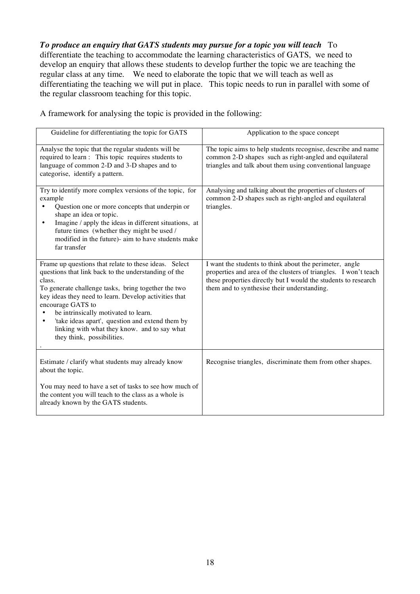## *To produce an enquiry that GATS students may pursue for a topic you will teach* To

differentiate the teaching to accommodate the learning characteristics of GATS, we need to develop an enquiry that allows these students to develop further the topic we are teaching the regular class at any time. We need to elaborate the topic that we will teach as well as differentiating the teaching we will put in place. This topic needs to run in parallel with some of the regular classroom teaching for this topic.

A framework for analysing the topic is provided in the following:

| Guideline for differentiating the topic for GATS                                                                                                                                                                                                                                                                                                                                                                                                   | Application to the space concept                                                                                                                                                                                                            |
|----------------------------------------------------------------------------------------------------------------------------------------------------------------------------------------------------------------------------------------------------------------------------------------------------------------------------------------------------------------------------------------------------------------------------------------------------|---------------------------------------------------------------------------------------------------------------------------------------------------------------------------------------------------------------------------------------------|
| Analyse the topic that the regular students will be<br>required to learn : This topic requires students to<br>language of common 2-D and 3-D shapes and to<br>categorise, identify a pattern.                                                                                                                                                                                                                                                      | The topic aims to help students recognise, describe and name<br>common 2-D shapes such as right-angled and equilateral<br>triangles and talk about them using conventional language                                                         |
| Try to identify more complex versions of the topic, for<br>example<br>Question one or more concepts that underpin or<br>shape an idea or topic.<br>Imagine / apply the ideas in different situations, at<br>$\bullet$<br>future times (whether they might be used /<br>modified in the future)- aim to have students make<br>far transfer                                                                                                          | Analysing and talking about the properties of clusters of<br>common 2-D shapes such as right-angled and equilateral<br>triangles.                                                                                                           |
| Frame up questions that relate to these ideas. Select<br>questions that link back to the understanding of the<br>class.<br>To generate challenge tasks, bring together the two<br>key ideas they need to learn. Develop activities that<br>encourage GATS to<br>be intrinsically motivated to learn.<br>'take ideas apart', question and extend them by<br>$\bullet$<br>linking with what they know. and to say what<br>they think, possibilities. | I want the students to think about the perimeter, angle<br>properties and area of the clusters of triangles. I won't teach<br>these properties directly but I would the students to research<br>them and to synthesise their understanding. |
| Estimate / clarify what students may already know<br>about the topic.<br>You may need to have a set of tasks to see how much of<br>the content you will teach to the class as a whole is<br>already known by the GATS students.                                                                                                                                                                                                                    | Recognise triangles, discriminate them from other shapes.                                                                                                                                                                                   |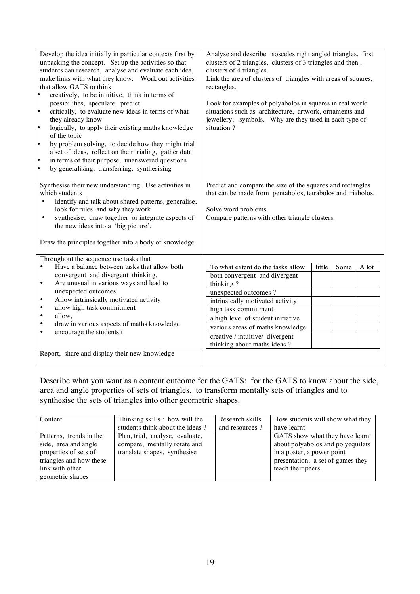| Develop the idea initially in particular contexts first by<br>unpacking the concept. Set up the activities so that<br>students can research, analyse and evaluate each idea,<br>make links with what they know. Work out activities<br>that allow GATS to think<br>creatively, to be intuitive, think in terms of<br>possibilities, speculate, predict<br>$\bullet$<br>critically, to evaluate new ideas in terms of what<br>they already know<br>$\bullet$<br>logically, to apply their existing maths knowledge<br>of the topic<br>$\bullet$<br>by problem solving, to decide how they might trial<br>a set of ideas, reflect on their trialing, gather data<br>$\bullet$<br>in terms of their purpose, unanswered questions<br>$\bullet$<br>by generalising, transferring, synthesising<br>Synthesise their new understanding. Use activities in | Analyse and describe isosceles right angled triangles, first<br>clusters of 2 triangles, clusters of 3 triangles and then,<br>clusters of 4 triangles.<br>Link the area of clusters of triangles with areas of squares,<br>rectangles.<br>Look for examples of polyabolos in squares in real world<br>situations such as architecture, artwork, ornaments and<br>jewellery, symbols. Why are they used in each type of<br>situation?<br>Predict and compare the size of the squares and rectangles |        |      |       |
|-----------------------------------------------------------------------------------------------------------------------------------------------------------------------------------------------------------------------------------------------------------------------------------------------------------------------------------------------------------------------------------------------------------------------------------------------------------------------------------------------------------------------------------------------------------------------------------------------------------------------------------------------------------------------------------------------------------------------------------------------------------------------------------------------------------------------------------------------------|----------------------------------------------------------------------------------------------------------------------------------------------------------------------------------------------------------------------------------------------------------------------------------------------------------------------------------------------------------------------------------------------------------------------------------------------------------------------------------------------------|--------|------|-------|
| which students                                                                                                                                                                                                                                                                                                                                                                                                                                                                                                                                                                                                                                                                                                                                                                                                                                      | that can be made from pentabolos, tetrabolos and triabolos.                                                                                                                                                                                                                                                                                                                                                                                                                                        |        |      |       |
| identify and talk about shared patterns, generalise,<br>$\bullet$<br>look for rules and why they work                                                                                                                                                                                                                                                                                                                                                                                                                                                                                                                                                                                                                                                                                                                                               | Solve word problems.                                                                                                                                                                                                                                                                                                                                                                                                                                                                               |        |      |       |
| synthesise, draw together or integrate aspects of<br>$\bullet$                                                                                                                                                                                                                                                                                                                                                                                                                                                                                                                                                                                                                                                                                                                                                                                      | Compare patterns with other triangle clusters.                                                                                                                                                                                                                                                                                                                                                                                                                                                     |        |      |       |
| the new ideas into a 'big picture'.                                                                                                                                                                                                                                                                                                                                                                                                                                                                                                                                                                                                                                                                                                                                                                                                                 |                                                                                                                                                                                                                                                                                                                                                                                                                                                                                                    |        |      |       |
| Draw the principles together into a body of knowledge                                                                                                                                                                                                                                                                                                                                                                                                                                                                                                                                                                                                                                                                                                                                                                                               |                                                                                                                                                                                                                                                                                                                                                                                                                                                                                                    |        |      |       |
| Throughout the sequence use tasks that<br>$\bullet$                                                                                                                                                                                                                                                                                                                                                                                                                                                                                                                                                                                                                                                                                                                                                                                                 |                                                                                                                                                                                                                                                                                                                                                                                                                                                                                                    |        |      |       |
| Have a balance between tasks that allow both<br>convergent and divergent thinking.                                                                                                                                                                                                                                                                                                                                                                                                                                                                                                                                                                                                                                                                                                                                                                  | To what extent do the tasks allow<br>both convergent and divergent                                                                                                                                                                                                                                                                                                                                                                                                                                 | little | Some | A lot |
| Are unusual in various ways and lead to<br>$\bullet$                                                                                                                                                                                                                                                                                                                                                                                                                                                                                                                                                                                                                                                                                                                                                                                                | thinking?                                                                                                                                                                                                                                                                                                                                                                                                                                                                                          |        |      |       |
| unexpected outcomes                                                                                                                                                                                                                                                                                                                                                                                                                                                                                                                                                                                                                                                                                                                                                                                                                                 | unexpected outcomes ?                                                                                                                                                                                                                                                                                                                                                                                                                                                                              |        |      |       |
| Allow intrinsically motivated activity<br>$\bullet$                                                                                                                                                                                                                                                                                                                                                                                                                                                                                                                                                                                                                                                                                                                                                                                                 | intrinsically motivated activity                                                                                                                                                                                                                                                                                                                                                                                                                                                                   |        |      |       |
| allow high task commitment<br>allow,<br>$\bullet$                                                                                                                                                                                                                                                                                                                                                                                                                                                                                                                                                                                                                                                                                                                                                                                                   | high task commitment                                                                                                                                                                                                                                                                                                                                                                                                                                                                               |        |      |       |
| draw in various aspects of maths knowledge<br>$\bullet$                                                                                                                                                                                                                                                                                                                                                                                                                                                                                                                                                                                                                                                                                                                                                                                             | a high level of student initiative                                                                                                                                                                                                                                                                                                                                                                                                                                                                 |        |      |       |
| encourage the students t<br>$\bullet$                                                                                                                                                                                                                                                                                                                                                                                                                                                                                                                                                                                                                                                                                                                                                                                                               | various areas of maths knowledge                                                                                                                                                                                                                                                                                                                                                                                                                                                                   |        |      |       |
|                                                                                                                                                                                                                                                                                                                                                                                                                                                                                                                                                                                                                                                                                                                                                                                                                                                     | creative / intuitive/ divergent<br>thinking about maths ideas?                                                                                                                                                                                                                                                                                                                                                                                                                                     |        |      |       |
| Report, share and display their new knowledge                                                                                                                                                                                                                                                                                                                                                                                                                                                                                                                                                                                                                                                                                                                                                                                                       |                                                                                                                                                                                                                                                                                                                                                                                                                                                                                                    |        |      |       |
|                                                                                                                                                                                                                                                                                                                                                                                                                                                                                                                                                                                                                                                                                                                                                                                                                                                     |                                                                                                                                                                                                                                                                                                                                                                                                                                                                                                    |        |      |       |

Describe what you want as a content outcome for the GATS: for the GATS to know about the side, area and angle properties of sets of triangles, to transform mentally sets of triangles and to synthesise the sets of triangles into other geometric shapes.

| Content                 | Thinking skills : how will the  | Research skills | How students will show what they  |
|-------------------------|---------------------------------|-----------------|-----------------------------------|
|                         | students think about the ideas? | and resources?  | have learnt                       |
| Patterns, trends in the | Plan, trial, analyse, evaluate, |                 | GATS show what they have learnt   |
| side, area and angle    | compare, mentally rotate and    |                 | about polyabolos and polyequilats |
| properties of sets of   | translate shapes, synthesise    |                 | in a poster, a power point        |
| triangles and how these |                                 |                 | presentation, a set of games they |
| link with other         |                                 |                 | teach their peers.                |
| geometric shapes        |                                 |                 |                                   |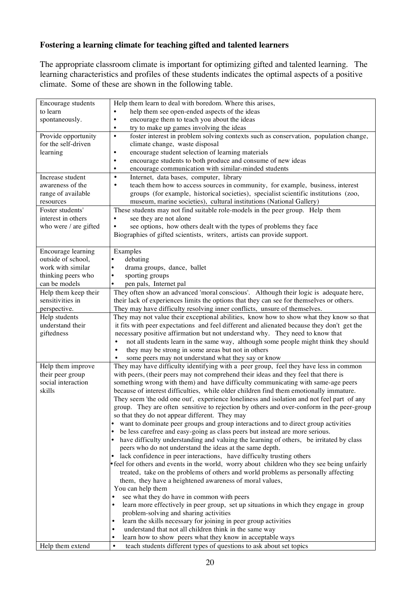# **Fostering a learning climate for teaching gifted and talented learners**

The appropriate classroom climate is important for optimizing gifted and talented learning. The learning characteristics and profiles of these students indicates the optimal aspects of a positive climate. Some of these are shown in the following table.

| Encourage students    | Help them learn to deal with boredom. Where this arises,                                          |
|-----------------------|---------------------------------------------------------------------------------------------------|
| to learn              | help them see open-ended aspects of the ideas                                                     |
| spontaneously.        | encourage them to teach you about the ideas<br>$\bullet$                                          |
|                       | try to make up games involving the ideas<br>$\bullet$                                             |
| Provide opportunity   | foster interest in problem solving contexts such as conservation, population change,<br>$\bullet$ |
| for the self-driven   | climate change, waste disposal                                                                    |
| learning              | encourage student selection of learning materials<br>$\bullet$                                    |
|                       | encourage students to both produce and consume of new ideas<br>$\bullet$                          |
|                       | encourage communication with similar-minded students<br>$\bullet$                                 |
| Increase student      | $\bullet$<br>Internet, data bases, computer, library                                              |
| awareness of the      | teach them how to access sources in community, for example, business, interest<br>$\bullet$       |
| range of available    | groups (for example, historical societies), specialist scientific institutions (zoo,              |
| resources             | museum, marine societies), cultural institutions (National Gallery)                               |
| Foster students'      | These students may not find suitable role-models in the peer group. Help them                     |
| interest in others    | see they are not alone<br>$\bullet$                                                               |
| who were / are gifted | see options, how others dealt with the types of problems they face                                |
|                       | Biographies of gifted scientists, writers, artists can provide support.                           |
|                       |                                                                                                   |
| Encourage learning    | Examples                                                                                          |
| outside of school,    | debating                                                                                          |
| work with similar     | drama groups, dance, ballet                                                                       |
| thinking peers who    | sporting groups                                                                                   |
| can be models         | pen pals, Internet pal                                                                            |
| Help them keep their  | They often show an advanced 'moral conscious'. Although their logic is adequate here,             |
| sensitivities in      | their lack of experiences limits the options that they can see for themselves or others.          |
|                       |                                                                                                   |
| perspective.          | They may have difficulty resolving inner conflicts, unsure of themselves.                         |
| Help students         | They may not value their exceptional abilities, know how to show what they know so that           |
| understand their      | it fits with peer expectations and feel different and alienated because they don't get the        |
| giftedness            | necessary positive affirmation but not understand why. They need to know that<br>$\bullet$        |
|                       | not all students learn in the same way, although some people might think they should              |
|                       | they may be strong in some areas but not in others<br>$\bullet$                                   |
|                       | some peers may not understand what they say or know                                               |
| Help them improve     | They may have difficulty identifying with a peer group, feel they have less in common             |
| their peer group      | with peers, (their peers may not comprehend their ideas and they feel that there is               |
| social interaction    | something wrong with them) and have difficulty communicating with same-age peers                  |
| skills                | because of interest difficulties, while older children find them emotionally immature.            |
|                       | They seem 'the odd one out', experience loneliness and isolation and not feel part of any         |
|                       | group. They are often sensitive to rejection by others and over-conform in the peer-group         |
|                       | so that they do not appear different. They may                                                    |
|                       | want to dominate peer groups and group interactions and to direct group activities                |
|                       | be less carefree and easy-going as class peers but instead are more serious.                      |
|                       | have difficulty understanding and valuing the learning of others, be irritated by class           |
|                       | peers who do not understand the ideas at the same depth.                                          |
|                       | lack confidence in peer interactions, have difficulty trusting others<br>$\bullet$                |
|                       | • feel for others and events in the world, worry about children who they see being unfairly       |
|                       | treated, take on the problems of others and world problems as personally affecting                |
|                       | them, they have a heightened awareness of moral values,                                           |
|                       | You can help them                                                                                 |
|                       | see what they do have in common with peers                                                        |
|                       | learn more effectively in peer group, set up situations in which they engage in group             |
|                       | problem-solving and sharing activities                                                            |
|                       | learn the skills necessary for joining in peer group activities                                   |
|                       | understand that not all children think in the same way<br>٠                                       |
|                       | learn how to show peers what they know in acceptable ways<br>٠                                    |
| Help them extend      | teach students different types of questions to ask about set topics<br>$\bullet$                  |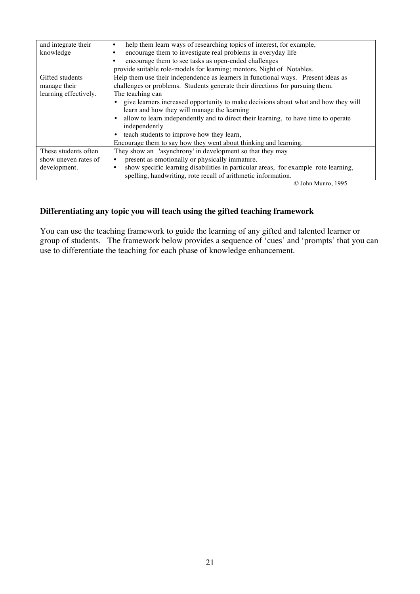| and integrate their   | help them learn ways of researching topics of interest, for example,                    |  |
|-----------------------|-----------------------------------------------------------------------------------------|--|
| knowledge             | encourage them to investigate real problems in everyday life                            |  |
|                       | encourage them to see tasks as open-ended challenges                                    |  |
|                       | provide suitable role-models for learning; mentors, Night of Notables.                  |  |
| Gifted students       | Help them use their independence as learners in functional ways. Present ideas as       |  |
| manage their          | challenges or problems. Students generate their directions for pursuing them.           |  |
| learning effectively. | The teaching can                                                                        |  |
|                       | give learners increased opportunity to make decisions about what and how they will      |  |
|                       | learn and how they will manage the learning                                             |  |
|                       | allow to learn independently and to direct their learning, to have time to operate<br>٠ |  |
|                       | independently                                                                           |  |
|                       | teach students to improve how they learn,<br>$\bullet$                                  |  |
|                       | Encourage them to say how they went about thinking and learning.                        |  |
| These students often  | They show an 'asynchrony' in development so that they may                               |  |
| show uneven rates of  | present as emotionally or physically immature.<br>٠                                     |  |
| development.          | show specific learning disabilities in particular areas, for example rote learning,     |  |
|                       | spelling, handwriting, rote recall of arithmetic information.                           |  |
|                       | 100 <sub>0</sub><br>$\sim$ $\sim$ $\sim$ $\sim$                                         |  |

## **Differentiating any topic you will teach using the gifted teaching framework**

You can use the teaching framework to guide the learning of any gifted and talented learner or group of students. The framework below provides a sequence of 'cues' and 'prompts' that you can use to differentiate the teaching for each phase of knowledge enhancement.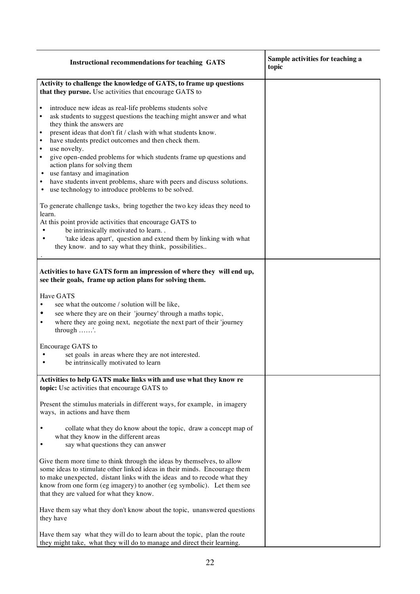| <b>Instructional recommendations for teaching GATS</b>                                                                                                                                                                                                                                                                                                                                                                                                                                                                                                                                                                                                                                                                                                                                                                                                                                                                                                                                         | Sample activities for teaching a<br>topic |
|------------------------------------------------------------------------------------------------------------------------------------------------------------------------------------------------------------------------------------------------------------------------------------------------------------------------------------------------------------------------------------------------------------------------------------------------------------------------------------------------------------------------------------------------------------------------------------------------------------------------------------------------------------------------------------------------------------------------------------------------------------------------------------------------------------------------------------------------------------------------------------------------------------------------------------------------------------------------------------------------|-------------------------------------------|
| Activity to challenge the knowledge of GATS, to frame up questions<br>that they pursue. Use activities that encourage GATS to                                                                                                                                                                                                                                                                                                                                                                                                                                                                                                                                                                                                                                                                                                                                                                                                                                                                  |                                           |
| introduce new ideas as real-life problems students solve<br>ask students to suggest questions the teaching might answer and what<br>$\bullet$<br>they think the answers are<br>present ideas that don't fit / clash with what students know.<br>$\bullet$<br>have students predict outcomes and then check them.<br>$\bullet$<br>use novelty.<br>$\bullet$<br>give open-ended problems for which students frame up questions and<br>$\bullet$<br>action plans for solving them<br>use fantasy and imagination<br>$\bullet$<br>have students invent problems, share with peers and discuss solutions.<br>use technology to introduce problems to be solved.<br>$\bullet$<br>To generate challenge tasks, bring together the two key ideas they need to<br>learn.<br>At this point provide activities that encourage GATS to<br>be intrinsically motivated to learn<br>'take ideas apart', question and extend them by linking with what<br>they know. and to say what they think, possibilities |                                           |
| Activities to have GATS form an impression of where they will end up,<br>see their goals, frame up action plans for solving them.                                                                                                                                                                                                                                                                                                                                                                                                                                                                                                                                                                                                                                                                                                                                                                                                                                                              |                                           |
| Have GATS<br>see what the outcome / solution will be like,<br>see where they are on their 'journey' through a maths topic,<br>٠<br>where they are going next, negotiate the next part of their 'journey<br>$\bullet$<br>through $\dots$ .                                                                                                                                                                                                                                                                                                                                                                                                                                                                                                                                                                                                                                                                                                                                                      |                                           |
| Encourage GATS to<br>set goals in areas where they are not interested.<br>be intrinsically motivated to learn                                                                                                                                                                                                                                                                                                                                                                                                                                                                                                                                                                                                                                                                                                                                                                                                                                                                                  |                                           |
| Activities to help GATS make links with and use what they know re<br>topic: Use activities that encourage GATS to                                                                                                                                                                                                                                                                                                                                                                                                                                                                                                                                                                                                                                                                                                                                                                                                                                                                              |                                           |
| Present the stimulus materials in different ways, for example, in imagery<br>ways, in actions and have them                                                                                                                                                                                                                                                                                                                                                                                                                                                                                                                                                                                                                                                                                                                                                                                                                                                                                    |                                           |
| collate what they do know about the topic, draw a concept map of<br>٠<br>what they know in the different areas<br>say what questions they can answer                                                                                                                                                                                                                                                                                                                                                                                                                                                                                                                                                                                                                                                                                                                                                                                                                                           |                                           |
| Give them more time to think through the ideas by themselves, to allow<br>some ideas to stimulate other linked ideas in their minds. Encourage them<br>to make unexpected, distant links with the ideas and to recode what they<br>know from one form (eg imagery) to another (eg symbolic). Let them see<br>that they are valued for what they know.                                                                                                                                                                                                                                                                                                                                                                                                                                                                                                                                                                                                                                          |                                           |
| Have them say what they don't know about the topic, unanswered questions<br>they have                                                                                                                                                                                                                                                                                                                                                                                                                                                                                                                                                                                                                                                                                                                                                                                                                                                                                                          |                                           |
| Have them say what they will do to learn about the topic, plan the route<br>they might take, what they will do to manage and direct their learning.                                                                                                                                                                                                                                                                                                                                                                                                                                                                                                                                                                                                                                                                                                                                                                                                                                            |                                           |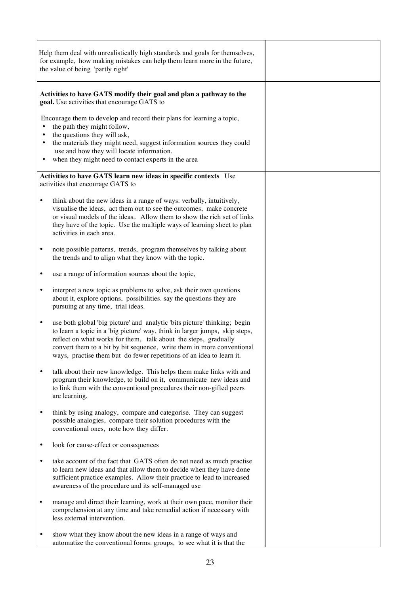| Help them deal with unrealistically high standards and goals for themselves,<br>for example, how making mistakes can help them learn more in the future,<br>the value of being 'partly right' |                                                                                                                                                                                                                                                                                                                                                                               |  |
|-----------------------------------------------------------------------------------------------------------------------------------------------------------------------------------------------|-------------------------------------------------------------------------------------------------------------------------------------------------------------------------------------------------------------------------------------------------------------------------------------------------------------------------------------------------------------------------------|--|
|                                                                                                                                                                                               | Activities to have GATS modify their goal and plan a pathway to the<br>goal. Use activities that encourage GATS to                                                                                                                                                                                                                                                            |  |
| ٠                                                                                                                                                                                             | Encourage them to develop and record their plans for learning a topic,<br>the path they might follow,<br>the questions they will ask,<br>the materials they might need, suggest information sources they could<br>use and how they will locate information.<br>when they might need to contact experts in the area                                                            |  |
|                                                                                                                                                                                               | Activities to have GATS learn new ideas in specific contexts Use<br>activities that encourage GATS to                                                                                                                                                                                                                                                                         |  |
| ٠                                                                                                                                                                                             | think about the new ideas in a range of ways: verbally, intuitively,<br>visualise the ideas, act them out to see the outcomes, make concrete<br>or visual models of the ideas Allow them to show the rich set of links<br>they have of the topic. Use the multiple ways of learning sheet to plan<br>activities in each area.                                                 |  |
| $\bullet$                                                                                                                                                                                     | note possible patterns, trends, program themselves by talking about<br>the trends and to align what they know with the topic.                                                                                                                                                                                                                                                 |  |
| $\bullet$                                                                                                                                                                                     | use a range of information sources about the topic,                                                                                                                                                                                                                                                                                                                           |  |
| ٠                                                                                                                                                                                             | interpret a new topic as problems to solve, ask their own questions<br>about it, explore options, possibilities. say the questions they are<br>pursuing at any time, trial ideas.                                                                                                                                                                                             |  |
| $\bullet$                                                                                                                                                                                     | use both global 'big picture' and analytic 'bits picture' thinking; begin<br>to learn a topic in a 'big picture' way, think in larger jumps, skip steps,<br>reflect on what works for them, talk about the steps, gradually<br>convert them to a bit by bit sequence, write them in more conventional<br>ways, practise them but do fewer repetitions of an idea to learn it. |  |
| ٠                                                                                                                                                                                             | talk about their new knowledge. This helps them make links with and<br>program their knowledge, to build on it, communicate new ideas and<br>to link them with the conventional procedures their non-gifted peers<br>are learning.                                                                                                                                            |  |
| ٠                                                                                                                                                                                             | think by using analogy, compare and categorise. They can suggest<br>possible analogies, compare their solution procedures with the<br>conventional ones, note how they differ.                                                                                                                                                                                                |  |
| ٠                                                                                                                                                                                             | look for cause-effect or consequences                                                                                                                                                                                                                                                                                                                                         |  |
| ٠                                                                                                                                                                                             | take account of the fact that GATS often do not need as much practise<br>to learn new ideas and that allow them to decide when they have done<br>sufficient practice examples. Allow their practice to lead to increased<br>awareness of the procedure and its self-managed use                                                                                               |  |
| $\bullet$                                                                                                                                                                                     | manage and direct their learning, work at their own pace, monitor their<br>comprehension at any time and take remedial action if necessary with<br>less external intervention.                                                                                                                                                                                                |  |
| ٠                                                                                                                                                                                             | show what they know about the new ideas in a range of ways and<br>automatize the conventional forms. groups, to see what it is that the                                                                                                                                                                                                                                       |  |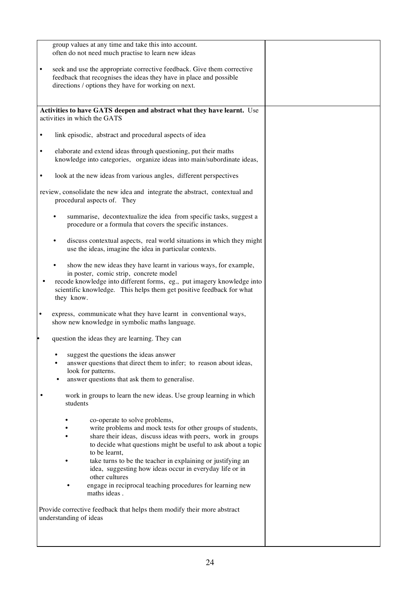|           | group values at any time and take this into account.<br>often do not need much practise to learn new ideas                                                                                                                                                                                                                                                                                                                                                             |  |
|-----------|------------------------------------------------------------------------------------------------------------------------------------------------------------------------------------------------------------------------------------------------------------------------------------------------------------------------------------------------------------------------------------------------------------------------------------------------------------------------|--|
| ٠         | seek and use the appropriate corrective feedback. Give them corrective<br>feedback that recognises the ideas they have in place and possible<br>directions / options they have for working on next.                                                                                                                                                                                                                                                                    |  |
|           | Activities to have GATS deepen and abstract what they have learnt. Use                                                                                                                                                                                                                                                                                                                                                                                                 |  |
|           | activities in which the GATS                                                                                                                                                                                                                                                                                                                                                                                                                                           |  |
| $\bullet$ | link episodic, abstract and procedural aspects of idea                                                                                                                                                                                                                                                                                                                                                                                                                 |  |
| $\bullet$ | elaborate and extend ideas through questioning, put their maths<br>knowledge into categories, organize ideas into main/subordinate ideas,                                                                                                                                                                                                                                                                                                                              |  |
|           | look at the new ideas from various angles, different perspectives                                                                                                                                                                                                                                                                                                                                                                                                      |  |
|           | review, consolidate the new idea and integrate the abstract, contextual and<br>procedural aspects of. They                                                                                                                                                                                                                                                                                                                                                             |  |
|           | summarise, decontextualize the idea from specific tasks, suggest a<br>procedure or a formula that covers the specific instances.                                                                                                                                                                                                                                                                                                                                       |  |
|           | discuss contextual aspects, real world situations in which they might<br>use the ideas, imagine the idea in particular contexts.                                                                                                                                                                                                                                                                                                                                       |  |
|           | show the new ideas they have learnt in various ways, for example,<br>in poster, comic strip, concrete model<br>recode knowledge into different forms, eg., put imagery knowledge into<br>scientific knowledge. This helps them get positive feedback for what<br>they know.                                                                                                                                                                                            |  |
| ٠         | express, communicate what they have learnt in conventional ways,<br>show new knowledge in symbolic maths language.                                                                                                                                                                                                                                                                                                                                                     |  |
|           | question the ideas they are learning. They can                                                                                                                                                                                                                                                                                                                                                                                                                         |  |
|           | suggest the questions the ideas answer<br>answer questions that direct them to infer; to reason about ideas,<br>look for patterns.<br>answer questions that ask them to generalise.                                                                                                                                                                                                                                                                                    |  |
|           | work in groups to learn the new ideas. Use group learning in which<br>students                                                                                                                                                                                                                                                                                                                                                                                         |  |
|           | co-operate to solve problems,<br>write problems and mock tests for other groups of students,<br>share their ideas, discuss ideas with peers, work in groups<br>to decide what questions might be useful to ask about a topic<br>to be learnt,<br>take turns to be the teacher in explaining or justifying an<br>idea, suggesting how ideas occur in everyday life or in<br>other cultures<br>engage in reciprocal teaching procedures for learning new<br>maths ideas. |  |
|           | Provide corrective feedback that helps them modify their more abstract<br>understanding of ideas                                                                                                                                                                                                                                                                                                                                                                       |  |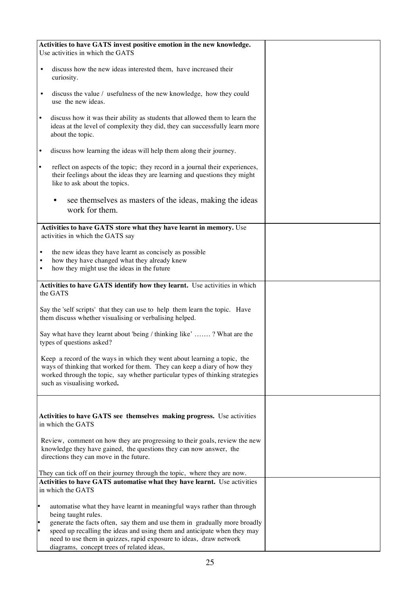| Activities to have GATS invest positive emotion in the new knowledge.<br>Use activities in which the GATS                                                                                                                                                            |  |
|----------------------------------------------------------------------------------------------------------------------------------------------------------------------------------------------------------------------------------------------------------------------|--|
| discuss how the new ideas interested them, have increased their<br>$\bullet$<br>curiosity.                                                                                                                                                                           |  |
| discuss the value / usefulness of the new knowledge, how they could<br>$\bullet$<br>use the new ideas.                                                                                                                                                               |  |
| discuss how it was their ability as students that allowed them to learn the<br>ideas at the level of complexity they did, they can successfully learn more<br>about the topic.                                                                                       |  |
| discuss how learning the ideas will help them along their journey.<br>$\bullet$                                                                                                                                                                                      |  |
| reflect on aspects of the topic; they record in a journal their experiences,<br>$\bullet$<br>their feelings about the ideas they are learning and questions they might<br>like to ask about the topics.                                                              |  |
| see themselves as masters of the ideas, making the ideas<br>٠<br>work for them.                                                                                                                                                                                      |  |
| Activities to have GATS store what they have learnt in memory. Use                                                                                                                                                                                                   |  |
| activities in which the GATS say                                                                                                                                                                                                                                     |  |
| the new ideas they have learnt as concisely as possible<br>$\bullet$                                                                                                                                                                                                 |  |
| how they have changed what they already knew<br>$\bullet$<br>how they might use the ideas in the future<br>$\bullet$                                                                                                                                                 |  |
| Activities to have GATS identify how they learnt. Use activities in which<br>the GATS                                                                                                                                                                                |  |
| Say the 'self scripts' that they can use to help them learn the topic. Have<br>them discuss whether visualising or verbalising helped.                                                                                                                               |  |
| Say what have they learnt about 'being / thinking like' ? What are the<br>types of questions asked?                                                                                                                                                                  |  |
| Keep a record of the ways in which they went about learning a topic, the<br>ways of thinking that worked for them. They can keep a diary of how they<br>worked through the topic, say whether particular types of thinking strategies<br>such as visualising worked. |  |
|                                                                                                                                                                                                                                                                      |  |
| Activities to have GATS see themselves making progress. Use activities<br>in which the GATS                                                                                                                                                                          |  |
| Review, comment on how they are progressing to their goals, review the new<br>knowledge they have gained, the questions they can now answer, the<br>directions they can move in the future.                                                                          |  |
| They can tick off on their journey through the topic, where they are now.                                                                                                                                                                                            |  |
| Activities to have GATS automatise what they have learnt. Use activities<br>in which the GATS                                                                                                                                                                        |  |
| automatise what they have learnt in meaningful ways rather than through<br>$\bullet$                                                                                                                                                                                 |  |
| being taught rules.<br>generate the facts often, say them and use them in gradually more broadly<br>l•                                                                                                                                                               |  |
| l.<br>speed up recalling the ideas and using them and anticipate when they may                                                                                                                                                                                       |  |
| need to use them in quizzes, rapid exposure to ideas, draw network<br>diagrams, concept trees of related ideas,                                                                                                                                                      |  |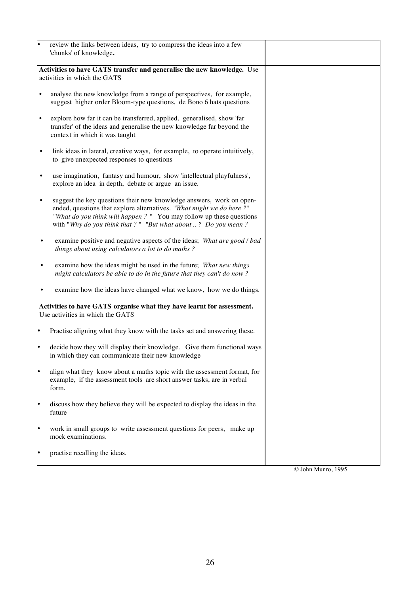|                                                                                                            | review the links between ideas, try to compress the ideas into a few<br>'chunks' of knowledge.                                                                                                                                                                                        |  |
|------------------------------------------------------------------------------------------------------------|---------------------------------------------------------------------------------------------------------------------------------------------------------------------------------------------------------------------------------------------------------------------------------------|--|
| Activities to have GATS transfer and generalise the new knowledge. Use<br>activities in which the GATS     |                                                                                                                                                                                                                                                                                       |  |
|                                                                                                            | analyse the new knowledge from a range of perspectives, for example,<br>suggest higher order Bloom-type questions, de Bono 6 hats questions                                                                                                                                           |  |
|                                                                                                            | explore how far it can be transferred, applied, generalised, show 'far<br>transfer' of the ideas and generalise the new knowledge far beyond the<br>context in which it was taught                                                                                                    |  |
| $\bullet$                                                                                                  | link ideas in lateral, creative ways, for example, to operate intuitively,<br>to give unexpected responses to questions                                                                                                                                                               |  |
| $\bullet$                                                                                                  | use imagination, fantasy and humour, show 'intellectual playfulness',<br>explore an idea in depth, debate or argue an issue.                                                                                                                                                          |  |
| $\bullet$                                                                                                  | suggest the key questions their new knowledge answers, work on open-<br>ended, questions that explore alternatives. "What might we do here?"<br>"What do you think will happen?" You may follow up these questions<br>with "Why do you think that ? " "But what about ? Do you mean ? |  |
| $\bullet$                                                                                                  | examine positive and negative aspects of the ideas; What are good / bad<br>things about using calculators a lot to do maths?                                                                                                                                                          |  |
| $\bullet$                                                                                                  | examine how the ideas might be used in the future; What new things<br>might calculators be able to do in the future that they can't do now?                                                                                                                                           |  |
|                                                                                                            | examine how the ideas have changed what we know, how we do things.                                                                                                                                                                                                                    |  |
| Activities to have GATS organise what they have learnt for assessment.<br>Use activities in which the GATS |                                                                                                                                                                                                                                                                                       |  |
|                                                                                                            | Practise aligning what they know with the tasks set and answering these.                                                                                                                                                                                                              |  |
|                                                                                                            | decide how they will display their knowledge. Give them functional ways<br>in which they can communicate their new knowledge                                                                                                                                                          |  |
|                                                                                                            | align what they know about a maths topic with the assessment format, for<br>example, if the assessment tools are short answer tasks, are in verbal<br>form.                                                                                                                           |  |
|                                                                                                            | discuss how they believe they will be expected to display the ideas in the<br>future                                                                                                                                                                                                  |  |
|                                                                                                            | work in small groups to write assessment questions for peers, make up<br>mock examinations.                                                                                                                                                                                           |  |
|                                                                                                            | practise recalling the ideas.                                                                                                                                                                                                                                                         |  |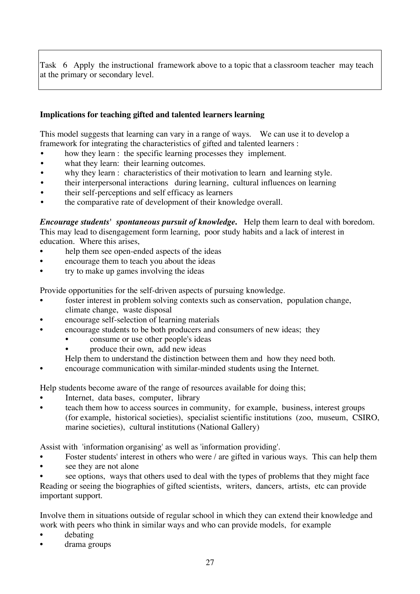Task 6 Apply the instructional framework above to a topic that a classroom teacher may teach at the primary or secondary level.

## **Implications for teaching gifted and talented learners learning**

This model suggests that learning can vary in a range of ways. We can use it to develop a framework for integrating the characteristics of gifted and talented learners :

- how they learn : the specific learning processes they implement.
- what they learn: their learning outcomes.
- why they learn: characteristics of their motivation to learn and learning style.
- their interpersonal interactions during learning, cultural influences on learning
- their self-perceptions and self efficacy as learners
- the comparative rate of development of their knowledge overall.

*Encourage students' spontaneous pursuit of knowledge***.** Help them learn to deal with boredom. This may lead to disengagement form learning, poor study habits and a lack of interest in education. Where this arises,

- help them see open-ended aspects of the ideas
- encourage them to teach you about the ideas
- try to make up games involving the ideas

Provide opportunities for the self-driven aspects of pursuing knowledge.

- foster interest in problem solving contexts such as conservation, population change, climate change, waste disposal
- encourage self-selection of learning materials
- encourage students to be both producers and consumers of new ideas; they
	- consume or use other people's ideas
	- produce their own, add new ideas
	- Help them to understand the distinction between them and how they need both.
- encourage communication with similar-minded students using the Internet.

Help students become aware of the range of resources available for doing this;

- Internet, data bases, computer, library
- teach them how to access sources in community, for example, business, interest groups (for example, historical societies), specialist scientific institutions (zoo, museum, CSIRO, marine societies), cultural institutions (National Gallery)

Assist with 'information organising' as well as 'information providing'.

- Foster students' interest in others who were / are gifted in various ways. This can help them
- see they are not alone

see options, ways that others used to deal with the types of problems that they might face Reading or seeing the biographies of gifted scientists, writers, dancers, artists, etc can provide important support.

Involve them in situations outside of regular school in which they can extend their knowledge and work with peers who think in similar ways and who can provide models, for example

- debating
- drama groups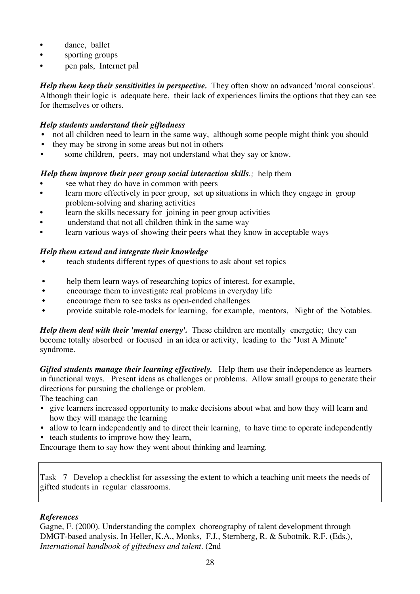- dance, ballet
- sporting groups
- pen pals, Internet pal

*Help them keep their sensitivities in perspective.* They often show an advanced 'moral conscious'. Although their logic is adequate here, their lack of experiences limits the options that they can see for themselves or others.

### *Help students understand their giftedness*

- not all children need to learn in the same way, although some people might think you should
- they may be strong in some areas but not in others
- some children, peers, may not understand what they say or know.

### *Help them improve their peer group social interaction skills.;* help them

- see what they do have in common with peers
- learn more effectively in peer group, set up situations in which they engage in group problem-solving and sharing activities
- learn the skills necessary for joining in peer group activities
- understand that not all children think in the same way
- learn various ways of showing their peers what they know in acceptable ways

### *Help them extend and integrate their knowledge*

- teach students different types of questions to ask about set topics
- help them learn ways of researching topics of interest, for example,
- encourage them to investigate real problems in everyday life
- encourage them to see tasks as open-ended challenges
- provide suitable role-models for learning, for example, mentors, Night of the Notables.

*Help them deal with their 'mental energy'.* These children are mentally energetic; they can become totally absorbed or focused in an idea or activity, leading to the "Just A Minute" syndrome.

*Gifted students manage their learning effectively.* Help them use their independence as learners in functional ways. Present ideas as challenges or problems. Allow small groups to generate their directions for pursuing the challenge or problem.

The teaching can

- give learners increased opportunity to make decisions about what and how they will learn and how they will manage the learning
- allow to learn independently and to direct their learning, to have time to operate independently
- teach students to improve how they learn.

Encourage them to say how they went about thinking and learning.

Task 7 Develop a checklist for assessing the extent to which a teaching unit meets the needs of gifted students in regular classrooms.

### *References*

Gagne, F. (2000). Understanding the complex choreography of talent development through DMGT-based analysis. In Heller, K.A., Monks, F.J., Sternberg, R. & Subotnik, R.F. (Eds.), *International handbook of giftedness and talent.* (2nd